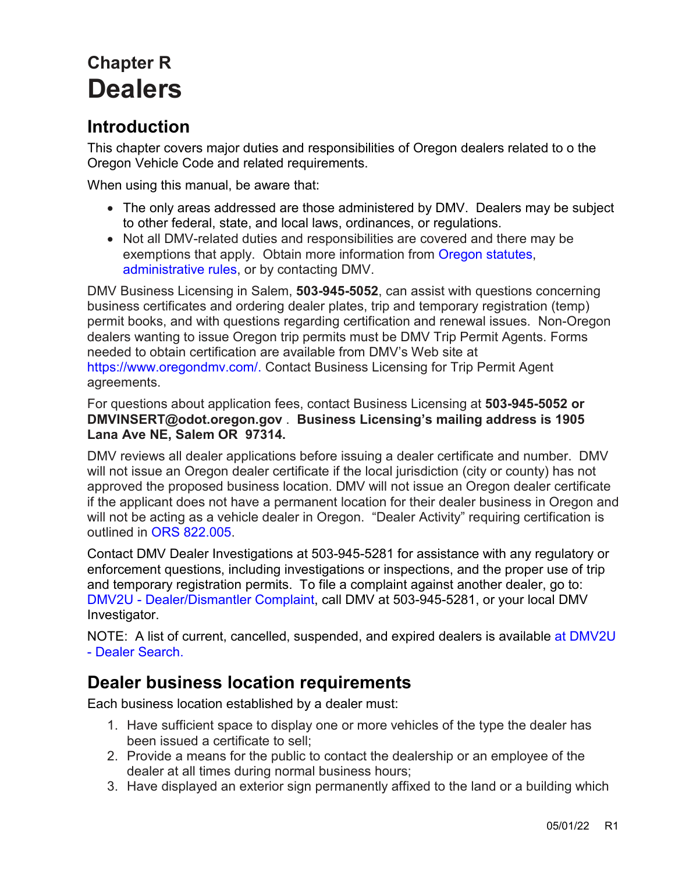# **Chapter R Dealers**

## **Introduction**

This chapter covers major duties and responsibilities of Oregon dealers related to o the Oregon Vehicle Code and related requirements.

When using this manual, be aware that:

- The only areas addressed are those administered by DMV. Dealers may be subject to other federal, state, and local laws, ordinances, or regulations.
- Not all DMV-related duties and responsibilities are covered and there may be exemptions that apply. Obtain more information from [Oregon statutes,](https://www.oregonlegislature.gov/bills_laws/Pages/ORS.aspx) [administrative rules,](https://sos.oregon.gov/archives/Pages/oregon_administrative_rules.aspx) or by contacting DMV.

DMV Business Licensing in Salem, **503-945-5052**, can assist with questions concerning business certificates and ordering dealer plates, trip and temporary registration (temp) permit books, and with questions regarding certification and renewal issues. Non-Oregon dealers wanting to issue Oregon trip permits must be DMV Trip Permit Agents. Forms needed to obtain certification are available from DMV's Web site at [https://www.oregondmv.com/.](https://www.oregondmv.com/) Contact Business Licensing for Trip Permit Agent agreements.

For questions about application fees, contact Business Licensing at **503-945-5052 or DMVINSERT@odot.oregon.gov** . **Business Licensing's mailing address is 1905 Lana Ave NE, Salem OR 97314.** 

DMV reviews all dealer applications before issuing a dealer certificate and number. DMV will not issue an Oregon dealer certificate if the local jurisdiction (city or county) has not approved the proposed business location. DMV will not issue an Oregon dealer certificate if the applicant does not have a permanent location for their dealer business in Oregon and will not be acting as a vehicle dealer in Oregon. "Dealer Activity" requiring certification is outlined in [ORS 822.005.](https://www.oregonlegislature.gov/bills_laws/ors/ors822.html) 

Contact DMV Dealer Investigations at 503-945-5281 for assistance with any regulatory or enforcement questions, including investigations or inspections, and the proper use of trip and temporary registration permits. To file a complaint against another dealer, go to: DMV2U - [Dealer/Dismantler Complaint,](https://dmv2u.oregon.gov/eServices/_/#1) call DMV at 503-945-5281, or your local DMV Investigator.

NOTE: A list of current, cancelled, suspended, and expired dealers is available at [DMV2U](https://dmv2u.oregon.gov/eServices/_/)  - [Dealer Search.](https://dmv2u.oregon.gov/eServices/_/)

## <span id="page-0-0"></span>**Dealer business location requirements**

Each business location established by a dealer must:

- 1. Have sufficient space to display one or more vehicles of the type the dealer has been issued a certificate to sell;
- 2. Provide a means for the public to contact the dealership or an employee of the dealer at all times during normal business hours;
- 3. Have displayed an exterior sign permanently affixed to the land or a building which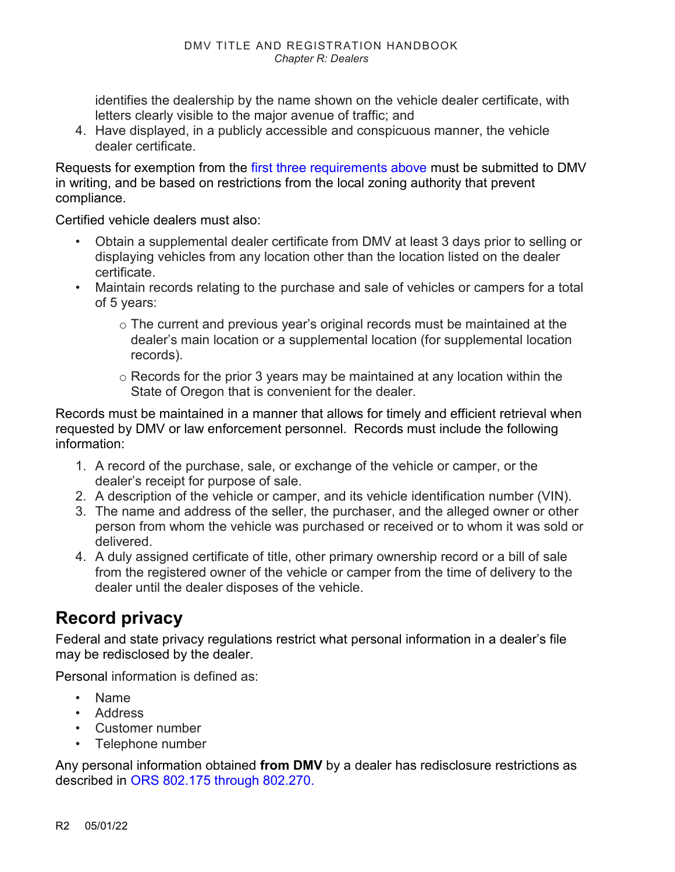identifies the dealership by the name shown on the vehicle dealer certificate, with letters clearly visible to the major avenue of traffic; and

4. Have displayed, in a publicly accessible and conspicuous manner, the vehicle dealer certificate.

Requests for exemption from the [first three requirements above](#page-0-0) must be submitted to DMV in writing, and be based on restrictions from the local zoning authority that prevent compliance.

Certified vehicle dealers must also:

- Obtain a supplemental dealer certificate from DMV at least 3 days prior to selling or displaying vehicles from any location other than the location listed on the dealer certificate.
- Maintain records relating to the purchase and sale of vehicles or campers for a total of 5 years:
	- o The current and previous year's original records must be maintained at the dealer's main location or a supplemental location (for supplemental location records).
	- o Records for the prior 3 years may be maintained at any location within the State of Oregon that is convenient for the dealer.

Records must be maintained in a manner that allows for timely and efficient retrieval when requested by DMV or law enforcement personnel. Records must include the following information:

- 1. A record of the purchase, sale, or exchange of the vehicle or camper, or the dealer's receipt for purpose of sale.
- 2. A description of the vehicle or camper, and its vehicle identification number (VIN).
- 3. The name and address of the seller, the purchaser, and the alleged owner or other person from whom the vehicle was purchased or received or to whom it was sold or delivered.
- 4. A duly assigned certificate of title, other primary ownership record or a bill of sale from the registered owner of the vehicle or camper from the time of delivery to the dealer until the dealer disposes of the vehicle.

## **Record privacy**

Federal and state privacy regulations restrict what personal information in a dealer's file may be redisclosed by the dealer.

Personal information is defined as:

- Name
- Address
- Customer number
- Telephone number

Any personal information obtained **from DMV** by a dealer has redisclosure restrictions as described in ORS 802.175 [through 802.270.](https://www.oregonlegislature.gov/bills_laws/ors/ors802.html)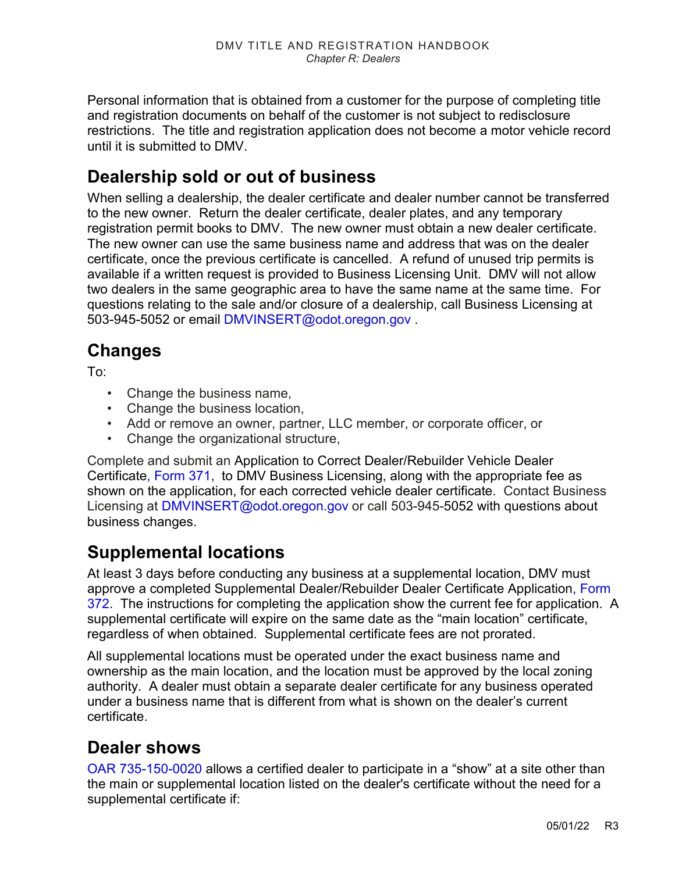Personal information that is obtained from a customer for the purpose of completing title and registration documents on behalf of the customer is not subject to redisclosure restrictions. The title and registration application does not become a motor vehicle record until it is submitted to DMV.

## **Dealership sold or out of business**

When selling a dealership, the dealer certificate and dealer number cannot be transferred to the new owner. Return the dealer certificate, dealer plates, and any temporary registration permit books to DMV. The new owner must obtain a new dealer certificate. The new owner can use the same business name and address that was on the dealer certificate, once the previous certificate is cancelled. A refund of unused trip permits is available if a written request is provided to Business Licensing Unit. DMV will not allow two dealers in the same geographic area to have the same name at the same time. For questions relating to the sale and/or closure of a dealership, call Business Licensing at 503-945-5052 or email [DMVINSERT@odot.oregon.gov](mailto:DMVINSERT@odot.oregon.gov) .

## **Changes**

To:

- Change the business name,
- Change the business location,
- Add or remove an owner, partner, LLC member, or corporate officer, or
- Change the organizational structure,

Complete and submit an Application to Correct Dealer/Rebuilder Vehicle Dealer Certificate, [Form 371,](https://www.odot.state.or.us/forms/dmv/371fill.pdf) to DMV Business Licensing, along with the appropriate fee as shown on the application, for each corrected vehicle dealer certificate. Contact Business Licensing at [DMVINSERT@odot.oregon.gov](mailto:DMVINSERT@odot.oregon.gov) or call 503-945-5052 with questions about business changes.

## **Supplemental locations**

At least 3 days before conducting any business at a supplemental location, DMV must approve a completed Supplemental Dealer/Rebuilder Dealer Certificate Application, [Form](https://www.odot.state.or.us/forms/dmv/372fill.pdf)  [372.](https://www.odot.state.or.us/forms/dmv/372fill.pdf) The instructions for completing the application show the current fee for application. A supplemental certificate will expire on the same date as the "main location" certificate, regardless of when obtained. Supplemental certificate fees are not prorated.

All supplemental locations must be operated under the exact business name and ownership as the main location, and the location must be approved by the local zoning authority. A dealer must obtain a separate dealer certificate for any business operated under a business name that is different from what is shown on the dealer's current certificate.

### **Dealer shows**

[OAR 735-150-0020](https://secure.sos.state.or.us/oard/viewSingleRule.action;JSESSIONID_OARD=oOhj0HsBiywaQSvFhjIOri0LWPrA2lPJGnXHbYFJGW6dL5wr7vSa!-330355351?ruleVrsnRsn=186979) allows a certified dealer to participate in a "show" at a site other than the main or supplemental location listed on the dealer's certificate without the need for a supplemental certificate if: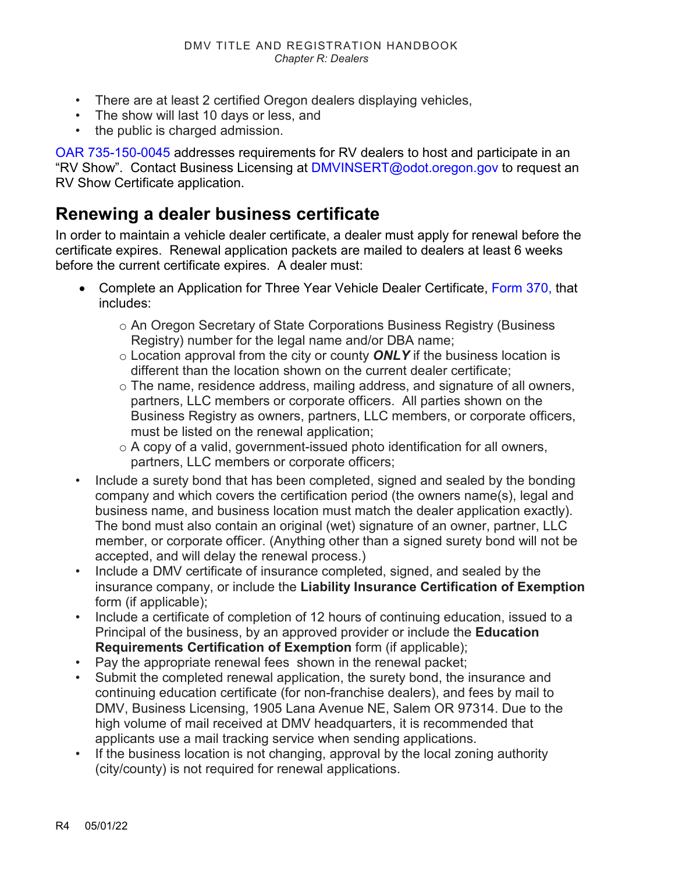- There are at least 2 certified Oregon dealers displaying vehicles,
- The show will last 10 days or less, and
- the public is charged admission.

[OAR 735-150-0045](https://secure.sos.state.or.us/oard/viewSingleRule.action;JSESSIONID_OARD=oOhj0HsBiywaQSvFhjIOri0LWPrA2lPJGnXHbYFJGW6dL5wr7vSa!-330355351?ruleVrsnRsn=187031) addresses requirements for RV dealers to host and participate in an "RV Show". Contact Business Licensing at [DMVINSERT@odot.oregon.gov](mailto:DMVINSERT@odot.oregon.gov) to request an RV Show Certificate application.

### **Renewing a dealer business certificate**

In order to maintain a vehicle dealer certificate, a dealer must apply for renewal before the certificate expires. Renewal application packets are mailed to dealers at least 6 weeks before the current certificate expires. A dealer must:

- Complete an Application for Three Year Vehicle Dealer Certificate, [Form 370,](https://www.odot.state.or.us/forms/dmv/370grpfill.pdf) that includes:
	- o An Oregon Secretary of State Corporations Business Registry (Business Registry) number for the legal name and/or DBA name;
	- o Location approval from the city or county *ONLY* if the business location is different than the location shown on the current dealer certificate;
	- $\circ$  The name, residence address, mailing address, and signature of all owners, partners, LLC members or corporate officers. All parties shown on the Business Registry as owners, partners, LLC members, or corporate officers, must be listed on the renewal application;
	- o A copy of a valid, government-issued photo identification for all owners, partners, LLC members or corporate officers;
- Include a surety bond that has been completed, signed and sealed by the bonding company and which covers the certification period (the owners name(s), legal and business name, and business location must match the dealer application exactly). The bond must also contain an original (wet) signature of an owner, partner, LLC member, or corporate officer. (Anything other than a signed surety bond will not be accepted, and will delay the renewal process.)
- Include a DMV certificate of insurance completed, signed, and sealed by the insurance company, or include the **Liability Insurance Certification of Exemption** form (if applicable);
- Include a certificate of completion of 12 hours of continuing education, issued to a Principal of the business, by an approved provider or include the **Education Requirements Certification of Exemption** form (if applicable);
- Pay the appropriate renewal fees shown in the renewal packet;
- Submit the completed renewal application, the surety bond, the insurance and continuing education certificate (for non-franchise dealers), and fees by mail to DMV, Business Licensing, 1905 Lana Avenue NE, Salem OR 97314. Due to the high volume of mail received at DMV headquarters, it is recommended that applicants use a mail tracking service when sending applications.
- If the business location is not changing, approval by the local zoning authority (city/county) is not required for renewal applications.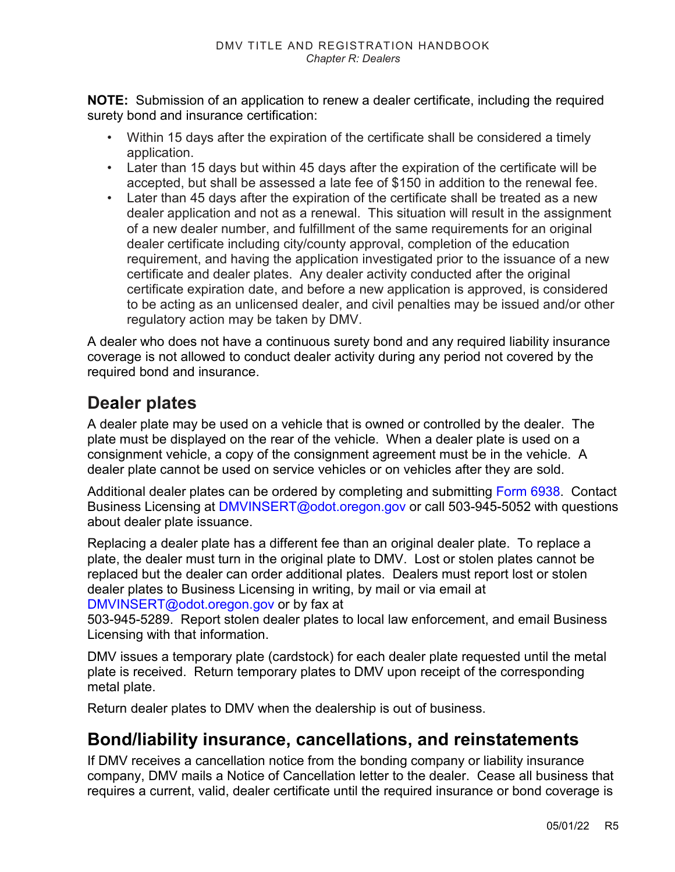**NOTE:** Submission of an application to renew a dealer certificate, including the required surety bond and insurance certification:

- Within 15 days after the expiration of the certificate shall be considered a timely application.
- Later than 15 days but within 45 days after the expiration of the certificate will be accepted, but shall be assessed a late fee of \$150 in addition to the renewal fee.
- Later than 45 days after the expiration of the certificate shall be treated as a new dealer application and not as a renewal. This situation will result in the assignment of a new dealer number, and fulfillment of the same requirements for an original dealer certificate including city/county approval, completion of the education requirement, and having the application investigated prior to the issuance of a new certificate and dealer plates. Any dealer activity conducted after the original certificate expiration date, and before a new application is approved, is considered to be acting as an unlicensed dealer, and civil penalties may be issued and/or other regulatory action may be taken by DMV.

A dealer who does not have a continuous surety bond and any required liability insurance coverage is not allowed to conduct dealer activity during any period not covered by the required bond and insurance.

## **Dealer plates**

A dealer plate may be used on a vehicle that is owned or controlled by the dealer. The plate must be displayed on the rear of the vehicle. When a dealer plate is used on a consignment vehicle, a copy of the consignment agreement must be in the vehicle. A dealer plate cannot be used on service vehicles or on vehicles after they are sold.

Additional dealer plates can be ordered by completing and submitting [Form 6938.](https://www.oregon.gov/odot/Forms/DMV/6938fill.pdf) Contact Business Licensing at [DMVINSERT@odot.oregon.gov](mailto:DMVINSERT@odot.oregon.gov) or call 503-945-5052 with questions about dealer plate issuance.

Replacing a dealer plate has a different fee than an original dealer plate. To replace a plate, the dealer must turn in the original plate to DMV. Lost or stolen plates cannot be replaced but the dealer can order additional plates. Dealers must report lost or stolen dealer plates to Business Licensing in writing, by mail or via email at [DMVINSERT@odot.oregon.gov](mailto:DMVINSERT@odot.oregon.gov) or by fax at

503-945-5289. Report stolen dealer plates to local law enforcement, and email Business Licensing with that information.

DMV issues a temporary plate (cardstock) for each dealer plate requested until the metal plate is received. Return temporary plates to DMV upon receipt of the corresponding metal plate.

Return dealer plates to DMV when the dealership is out of business.

## **Bond/liability insurance, cancellations, and reinstatements**

If DMV receives a cancellation notice from the bonding company or liability insurance company, DMV mails a Notice of Cancellation letter to the dealer. Cease all business that requires a current, valid, dealer certificate until the required insurance or bond coverage is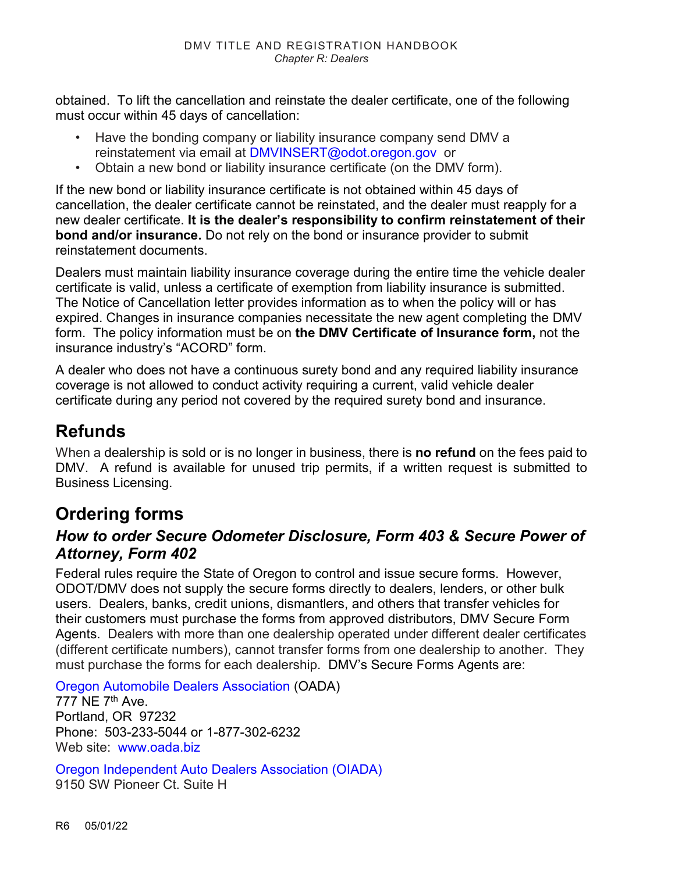obtained. To lift the cancellation and reinstate the dealer certificate, one of the following must occur within 45 days of cancellation:

- Have the bonding company or liability insurance company send DMV a reinstatement via email at [DMVINSERT@odot.oregon.gov](mailto:DMVINSERT@odot.oregon.gov) or
- Obtain a new bond or liability insurance certificate (on the DMV form).

If the new bond or liability insurance certificate is not obtained within 45 days of cancellation, the dealer certificate cannot be reinstated, and the dealer must reapply for a new dealer certificate. **It is the dealer's responsibility to confirm reinstatement of their bond and/or insurance.** Do not rely on the bond or insurance provider to submit reinstatement documents.

Dealers must maintain liability insurance coverage during the entire time the vehicle dealer certificate is valid, unless a certificate of exemption from liability insurance is submitted. The Notice of Cancellation letter provides information as to when the policy will or has expired. Changes in insurance companies necessitate the new agent completing the DMV form. The policy information must be on **the DMV Certificate of Insurance form,** not the insurance industry's "ACORD" form.

A dealer who does not have a continuous surety bond and any required liability insurance coverage is not allowed to conduct activity requiring a current, valid vehicle dealer certificate during any period not covered by the required surety bond and insurance.

## **Refunds**

When a dealership is sold or is no longer in business, there is **no refund** on the fees paid to DMV. A refund is available for unused trip permits, if a written request is submitted to Business Licensing.

## <span id="page-5-0"></span>**Ordering forms**

#### *How to order Secure Odometer Disclosure, Form 403 & Secure Power of Attorney, Form 402*

Federal rules require the State of Oregon to control and issue secure forms. However, ODOT/DMV does not supply the secure forms directly to dealers, lenders, or other bulk users. Dealers, banks, credit unions, dismantlers, and others that transfer vehicles for their customers must purchase the forms from approved distributors, DMV Secure Form Agents. Dealers with more than one dealership operated under different dealer certificates (different certificate numbers), cannot transfer forms from one dealership to another. They must purchase the forms for each dealership. DMV's Secure Forms Agents are:

[Oregon Automobile Dealers Association](http://www.oada.biz/) (OADA)

777 NE 7<sup>th</sup> Ave. Portland, OR 97232 Phone: 503-233-5044 or 1-877-302-6232 Web site: [www.oada.biz](http://www.oada.biz/).

[Oregon Independent Auto Dealers Association \(](http://www.oiada.com/)OIADA) 9150 SW Pioneer Ct. Suite H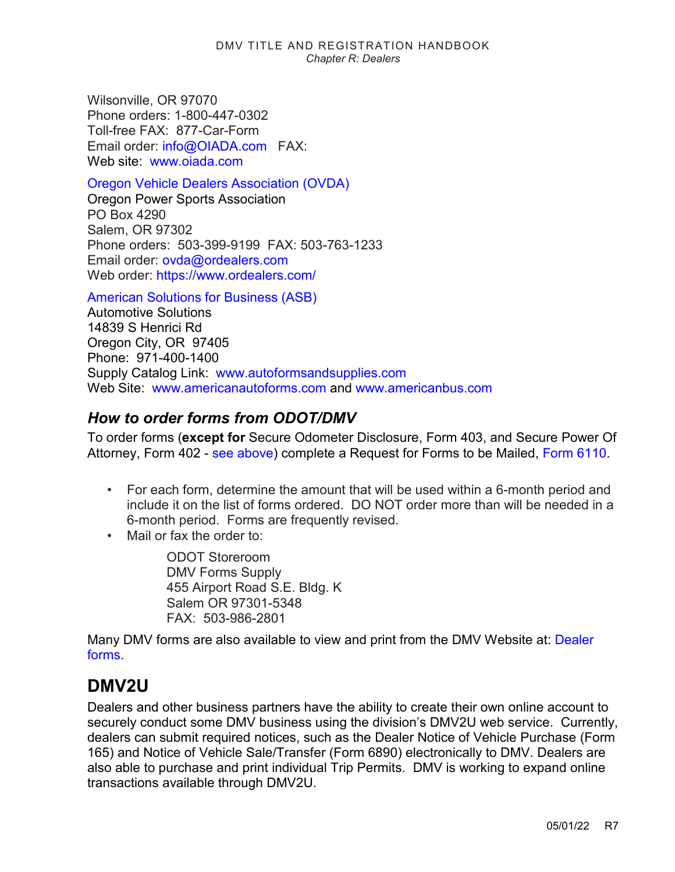Wilsonville, OR 97070 Phone orders: 1-800-447-0302 Toll-free FAX: 877-Car-Form Email order: [info@OIADA.com](mailto:info@OIADA.com) FAX: Web site: [www.oiada.com](http://www.oiada.com/)

Oregon Vehicle [Dealers Association](https://www.ordealers.com/) (OVDA)

Oregon Power Sports Association PO Box 4290 Salem, OR 97302 Phone orders: 503-399-9199 FAX: 503-763-1233 Email order: [ovda@ordealers.com](mailto:ovda@ordealers.com) Web order:<https://www.ordealers.com/>

[American Solutions for Business \(ASB\)](http://www.americanautoforms.com/) Automotive Solutions 14839 S Henrici Rd Oregon City, OR 97405 Phone: 971-400-1400 Supply Catalog Link: [www.autoformsandsupplies.com](http://www.autoformsandsupplies.com/) Web Site: [www.americanautoforms.com](http://www.americanautoforms.com/) and [www.americanbus.com](http://www.americanbus.com/)

#### *How to order forms from ODOT/DMV*

To order forms (**except for** Secure Odometer Disclosure, Form 403, and Secure Power Of Attorney, Form 402 - [see above\)](#page-5-0) complete a Request for Forms to be Mailed, [Form 6110.](https://www.oregon.gov/odot/Forms/DMV/6110.pdf)

- For each form, determine the amount that will be used within a 6-month period and include it on the list of forms ordered. DO NOT order more than will be needed in a 6-month period. Forms are frequently revised.
- Mail or fax the order to:

ODOT Storeroom DMV Forms Supply 455 Airport Road S.E. Bldg. K Salem OR 97301-5348 FAX: 503-986-2801

Many DMV forms are also available to view and print from the DMV Website at: [Dealer](https://www.oregon.gov/odot/DMV/Pages/Form/index.aspx?wp2624=se:%226110%22)  [forms.](https://www.oregon.gov/odot/DMV/Pages/Form/index.aspx?wp2624=se:%226110%22)

### **DMV2U**

Dealers and other business partners have the ability to create their own online account to securely conduct some DMV business using the division's DMV2U web service. Currently, dealers can submit required notices, such as the Dealer Notice of Vehicle Purchase (Form 165) and Notice of Vehicle Sale/Transfer (Form 6890) electronically to DMV. Dealers are also able to purchase and print individual Trip Permits. DMV is working to expand online transactions available through DMV2U.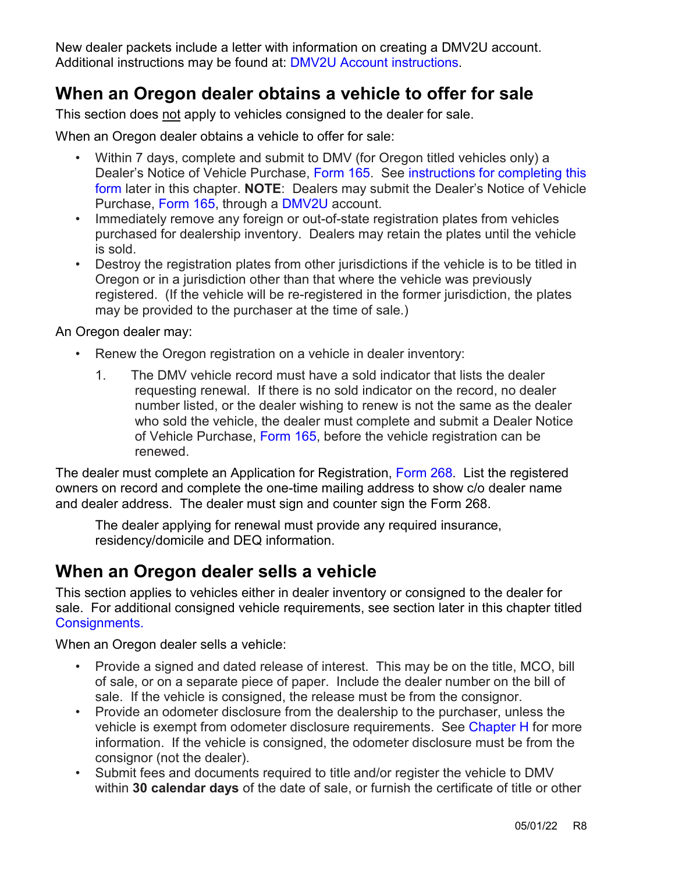New dealer packets include a letter with information on creating a DMV2U account. Additional instructions may be found at: [DMV2U Account instructions.](https://www.oregon.gov/ODOT/DMV/docs/PartnerSignInSlides.pdf)

## **When an Oregon dealer obtains a vehicle to offer for sale**

This section does not apply to vehicles consigned to the dealer for sale.

When an Oregon dealer obtains a vehicle to offer for sale:

- Within 7 days, complete and submit to DMV (for Oregon titled vehicles only) a Dealer's Notice of Vehicle Purchase, [Form 165.](https://www.odot.state.or.us/forms/dmv/165fill.pdf) See [instructions for completing this](#page-14-0)  [form](#page-14-0) later in this chapter. **NOTE**: Dealers may submit the Dealer's Notice of Vehicle Purchase, [Form 165,](https://www.odot.state.or.us/forms/dmv/165fill.pdf) through a [DMV2U](https://ordsvsstgext.odot.state.or.us/eServices/_/#1) account.
- Immediately remove any foreign or out-of-state registration plates from vehicles purchased for dealership inventory. Dealers may retain the plates until the vehicle is sold.
- Destroy the registration plates from other jurisdictions if the vehicle is to be titled in Oregon or in a jurisdiction other than that where the vehicle was previously registered. (If the vehicle will be re-registered in the former jurisdiction, the plates may be provided to the purchaser at the time of sale.)

An Oregon dealer may:

- Renew the Oregon registration on a vehicle in dealer inventory:
	- 1. The DMV vehicle record must have a sold indicator that lists the dealer requesting renewal. If there is no sold indicator on the record, no dealer number listed, or the dealer wishing to renew is not the same as the dealer who sold the vehicle, the dealer must complete and submit a Dealer Notice of Vehicle Purchase, [Form 165,](https://www.odot.state.or.us/forms/dmv/165fill.pdf) before the vehicle registration can be renewed.

The dealer must complete an Application for Registration, [Form 268.](https://www.odot.state.or.us/forms/dmv/268fill.pdf) List the registered owners on record and complete the one-time mailing address to show c/o dealer name and dealer address. The dealer must sign and counter sign the Form 268.

The dealer applying for renewal must provide any required insurance, residency/domicile and DEQ information.

### <span id="page-7-0"></span>**When an Oregon dealer sells a vehicle**

This section applies to vehicles either in dealer inventory or consigned to the dealer for sale. For additional consigned vehicle requirements, see section later in this chapter titled [Consignments.](#page-11-0)

When an Oregon dealer sells a vehicle:

- Provide a signed and dated release of interest. This may be on the title, MCO, bill of sale, or on a separate piece of paper. Include the dealer number on the bill of sale. If the vehicle is consigned, the release must be from the consignor.
- Provide an odometer disclosure from the dealership to the purchaser, unless the vehicle is exempt from odometer disclosure requirements. See [Chapter H](https://www.oregon.gov/ODOT/DMV/docs/VTRH/Chapter_H.pdf) for more information. If the vehicle is consigned, the odometer disclosure must be from the consignor (not the dealer).
- Submit fees and documents required to title and/or register the vehicle to DMV within **30 calendar days** of the date of sale, or furnish the certificate of title or other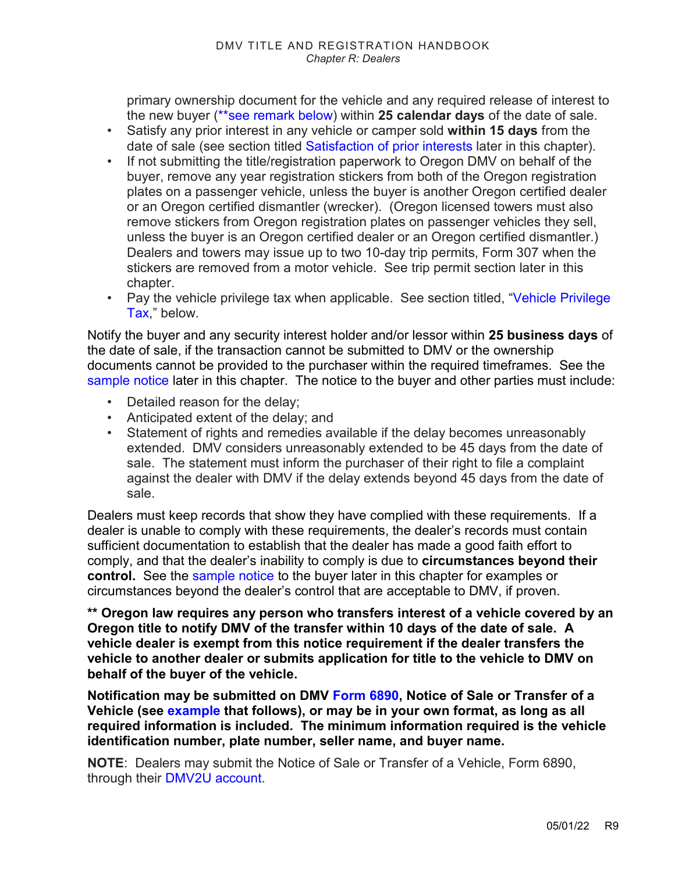primary ownership document for the vehicle and any required release of interest to the new buyer [\(\\*\\*see remark below\)](#page-8-0) within **25 calendar days** of the date of sale.

- Satisfy any prior interest in any vehicle or camper sold **within 15 days** from the date of sale (see section titled [Satisfaction of prior interests](#page-9-0) later in this chapter).
- If not submitting the title/registration paperwork to Oregon DMV on behalf of the buyer, remove any year registration stickers from both of the Oregon registration plates on a passenger vehicle, unless the buyer is another Oregon certified dealer or an Oregon certified dismantler (wrecker). (Oregon licensed towers must also remove stickers from Oregon registration plates on passenger vehicles they sell, unless the buyer is an Oregon certified dealer or an Oregon certified dismantler.) Dealers and towers may issue up to two 10-day trip permits, Form 307 when the stickers are removed from a motor vehicle. See trip permit section later in this chapter.
- Pay the vehicle privilege tax when applicable. See section titled, "Vehicle Privilege [Tax,](#page-9-1)" below.

Notify the buyer and any security interest holder and/or lessor within **25 business days** of the date of sale, if the transaction cannot be submitted to DMV or the ownership documents cannot be provided to the purchaser within the required timeframes. See the sample notice later in this chapter. The notice to the buyer and other parties must include:

- Detailed reason for the delay;
- Anticipated extent of the delay; and
- Statement of rights and remedies available if the delay becomes unreasonably extended. DMV considers unreasonably extended to be 45 days from the date of sale. The statement must inform the purchaser of their right to file a complaint against the dealer with DMV if the delay extends beyond 45 days from the date of sale.

Dealers must keep records that show they have complied with these requirements. If a dealer is unable to comply with these requirements, the dealer's records must contain sufficient documentation to establish that the dealer has made a good faith effort to comply, and that the dealer's inability to comply is due to **circumstances beyond their control.** See the sample notice to the buyer later in this chapter for examples or circumstances beyond the dealer's control that are acceptable to DMV, if proven.

<span id="page-8-0"></span>**\*\* Oregon law requires any person who transfers interest of a vehicle covered by an Oregon title to notify DMV of the transfer within 10 days of the date of sale. A vehicle dealer is exempt from this notice requirement if the dealer transfers the vehicle to another dealer or submits application for title to the vehicle to DMV on behalf of the buyer of the vehicle.** 

**Notification may be submitted on DMV [Form 6890,](https://www.odot.state.or.us/forms/dmv/6890.pdf) Notice of Sale or Transfer of a Vehicle (see [example](#page-9-2) that follows), or may be in your own format, as long as all required information is included. The minimum information required is the vehicle identification number, plate number, seller name, and buyer name.** 

**NOTE**: Dealers may submit the Notice of Sale or Transfer of a Vehicle, Form 6890, through their [DMV2U](https://ordsvsstgext.odot.state.or.us/eServices/_/#1) account.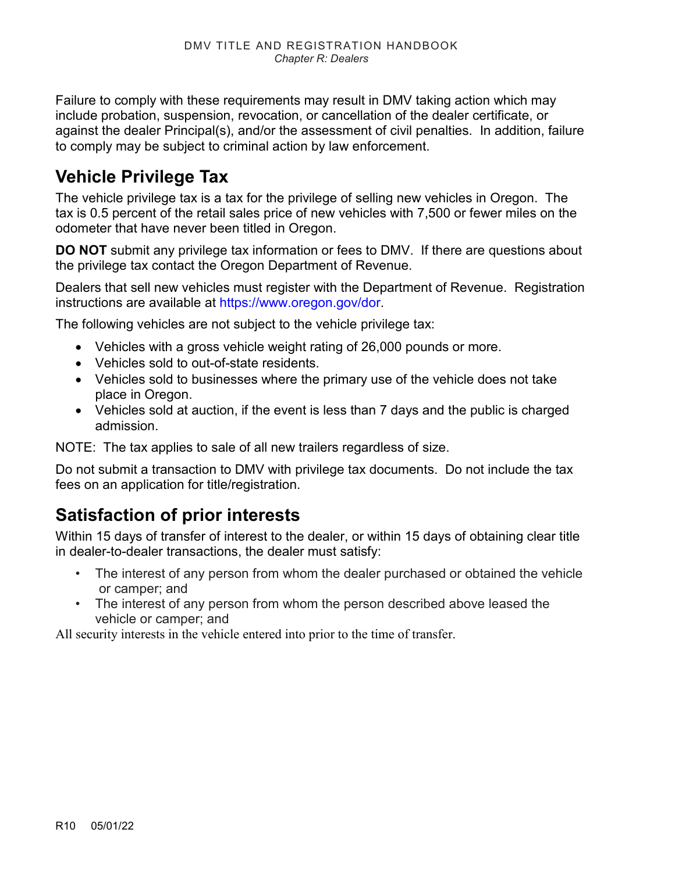Failure to comply with these requirements may result in DMV taking action which may include probation, suspension, revocation, or cancellation of the dealer certificate, or against the dealer Principal(s), and/or the assessment of civil penalties. In addition, failure to comply may be subject to criminal action by law enforcement.

## <span id="page-9-1"></span>**Vehicle Privilege Tax**

The vehicle privilege tax is a tax for the privilege of selling new vehicles in Oregon. The tax is 0.5 percent of the retail sales price of new vehicles with 7,500 or fewer miles on the odometer that have never been titled in Oregon.

**DO NOT** submit any privilege tax information or fees to DMV. If there are questions about the privilege tax contact the Oregon Department of Revenue.

Dealers that sell new vehicles must register with the Department of Revenue. Registration instructions are available at [https://www.oregon.gov/dor.](https://www.oregon.gov/dor)

The following vehicles are not subject to the vehicle privilege tax:

- Vehicles with a gross vehicle weight rating of 26,000 pounds or more.
- Vehicles sold to out-of-state residents.
- Vehicles sold to businesses where the primary use of the vehicle does not take place in Oregon.
- Vehicles sold at auction, if the event is less than 7 days and the public is charged admission.

NOTE: The tax applies to sale of all new trailers regardless of size.

Do not submit a transaction to DMV with privilege tax documents. Do not include the tax fees on an application for title/registration.

## <span id="page-9-0"></span>**Satisfaction of prior interests**

Within 15 days of transfer of interest to the dealer, or within 15 days of obtaining clear title in dealer-to-dealer transactions, the dealer must satisfy:

- The interest of any person from whom the dealer purchased or obtained the vehicle or camper; and
- <span id="page-9-2"></span>• The interest of any person from whom the person described above leased the vehicle or camper; and

All security interests in the vehicle entered into prior to the time of transfer.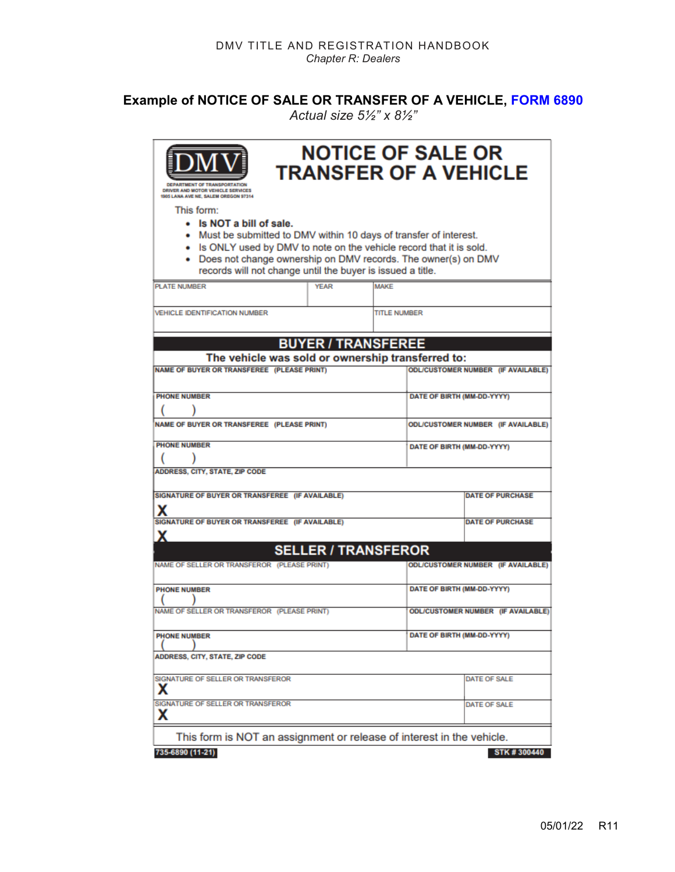#### **Example of NOTICE OF SALE OR TRANSFER OF A VEHICLE, [FORM 6890](https://www.odot.state.or.us/forms/dmv/6890.pdf)**

*Actual size 5½" x 8½"*

| <b>ENT OF TRANSPORTATION</b><br>DRIVER AND MOTOR VEHICLE SERVICES<br><b>SOS LANA AVE NE, SALEM OREGON 97314</b>                                                                                                                                                                                                       |             |                            | <b>NOTICE OF SALE OR</b>   | <b>TRANSFER OF A VEHICLE</b>              |
|-----------------------------------------------------------------------------------------------------------------------------------------------------------------------------------------------------------------------------------------------------------------------------------------------------------------------|-------------|----------------------------|----------------------------|-------------------------------------------|
| This form:<br>• Is NOT a bill of sale.<br>• Must be submitted to DMV within 10 days of transfer of interest.<br>. Is ONLY used by DMV to note on the vehicle record that it is sold.<br>• Does not change ownership on DMV records. The owner(s) on DMV<br>records will not change until the buyer is issued a title. |             |                            |                            |                                           |
| <b>PLATE NUMBER</b>                                                                                                                                                                                                                                                                                                   | <b>YEAR</b> | <b>MAKE</b>                |                            |                                           |
| <b>VEHICLE IDENTIFICATION NUMBER</b>                                                                                                                                                                                                                                                                                  |             | <b>TITLE NUMBER</b>        |                            |                                           |
|                                                                                                                                                                                                                                                                                                                       |             | <b>BUYER / TRANSFEREE</b>  |                            |                                           |
| The vehicle was sold or ownership transferred to:                                                                                                                                                                                                                                                                     |             |                            |                            |                                           |
| NAME OF BUYER OR TRANSFEREE (PLEASE PRINT)                                                                                                                                                                                                                                                                            |             |                            |                            | <b>ODL/CUSTOMER NUMBER (IF AVAILABLE)</b> |
| <b>PHONE NUMBER</b>                                                                                                                                                                                                                                                                                                   |             |                            | DATE OF BIRTH (MM-DD-YYYY) |                                           |
| NAME OF BUYER OR TRANSFEREE (PLEASE PRINT)                                                                                                                                                                                                                                                                            |             |                            |                            | ODL/CUSTOMER NUMBER (IF AVAILABLE)        |
| <b>PHONE NUMBER</b>                                                                                                                                                                                                                                                                                                   |             |                            | DATE OF BIRTH (MM-DD-YYYY) |                                           |
| <b>ADDRESS, CITY, STATE, ZIP CODE</b>                                                                                                                                                                                                                                                                                 |             |                            |                            |                                           |
| SIGNATURE OF BUYER OR TRANSFEREE (IF AVAILABLE)<br>х                                                                                                                                                                                                                                                                  |             |                            |                            | <b>DATE OF PURCHASE</b>                   |
| SIGNATURE OF BUYER OR TRANSFEREE (IF AVAILABLE)<br>x                                                                                                                                                                                                                                                                  |             |                            |                            | <b>DATE OF PURCHASE</b>                   |
|                                                                                                                                                                                                                                                                                                                       |             | <b>SELLER / TRANSFEROR</b> |                            |                                           |
| NAME OF SELLER OR TRANSFEROR (PLEASE PRINT)                                                                                                                                                                                                                                                                           |             |                            |                            | <b>ODL/CUSTOMER NUMBER (IF AVAILABLE)</b> |
| <b>PHONE NUMBER</b>                                                                                                                                                                                                                                                                                                   |             |                            | DATE OF BIRTH (MM-DD-YYYY) |                                           |
| NAME OF SELLER OR TRANSFEROR (PLEASE PRINT)                                                                                                                                                                                                                                                                           |             |                            |                            | <b>ODL/CUSTOMER NUMBER (IF AVAILABLE)</b> |
| <b>PHONE NUMBER</b>                                                                                                                                                                                                                                                                                                   |             |                            | DATE OF BIRTH (MM-DD-YYYY) |                                           |
| ADDRESS, CITY, STATE, ZIP CODE                                                                                                                                                                                                                                                                                        |             |                            |                            |                                           |
| SIGNATURE OF SELLER OR TRANSFEROR<br>x                                                                                                                                                                                                                                                                                |             |                            |                            | DATE OF SALE                              |
| SIGNATURE OF SELLER OR TRANSFEROR<br>х                                                                                                                                                                                                                                                                                |             |                            |                            | <b>DATE OF SALE</b>                       |
| This form is NOT an assignment or release of interest in the vehicle.                                                                                                                                                                                                                                                 |             |                            |                            |                                           |
| 735-6890 (11-21)                                                                                                                                                                                                                                                                                                      |             |                            |                            | STK #300440                               |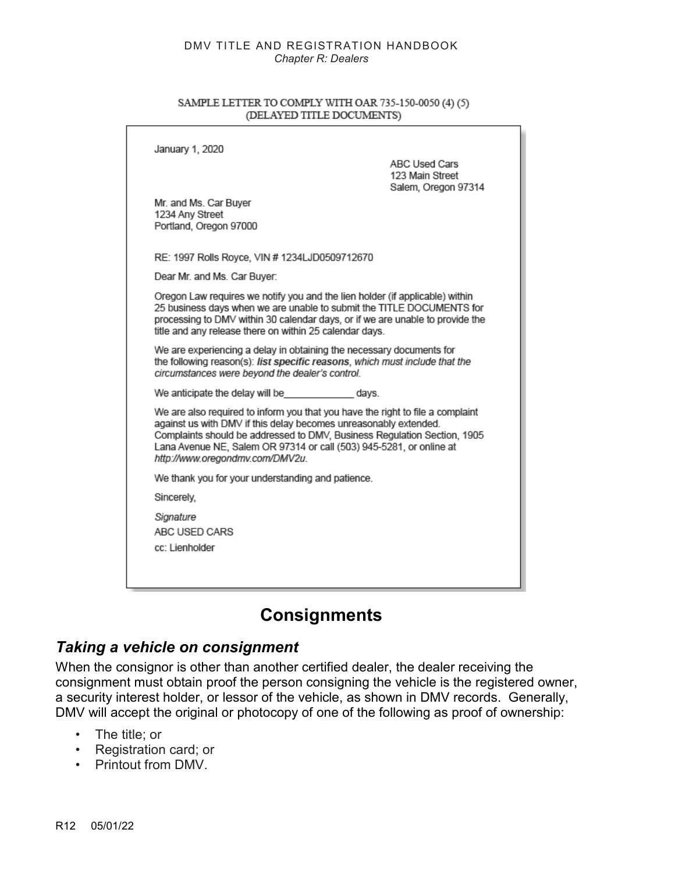#### <span id="page-11-0"></span>SAMPLE LETTER TO COMPLY WITH OAR 735-150-0050 (4) (5) (DELAYED TITLE DOCUMENTS)

| January 1, 2020                                                                                                                                                                                                                                                                                                                          | <b>ABC Used Cars</b><br>123 Main Street<br>Salem, Oregon 97314 |
|------------------------------------------------------------------------------------------------------------------------------------------------------------------------------------------------------------------------------------------------------------------------------------------------------------------------------------------|----------------------------------------------------------------|
| Mr. and Ms. Car Buver<br>1234 Any Street<br>Portland, Oregon 97000                                                                                                                                                                                                                                                                       |                                                                |
| RE: 1997 Rolls Royce, VIN # 1234LJD0509712670                                                                                                                                                                                                                                                                                            |                                                                |
| Dear Mr. and Ms. Car Buyer:                                                                                                                                                                                                                                                                                                              |                                                                |
| Oregon Law requires we notify you and the lien holder (if applicable) within<br>25 business days when we are unable to submit the TITLE DOCUMENTS for<br>processing to DMV within 30 calendar days, or if we are unable to provide the<br>title and any release there on within 25 calendar days.                                        |                                                                |
| We are experiencing a delay in obtaining the necessary documents for<br>the following reason(s): list specific reasons, which must include that the<br>circumstances were beyond the dealer's control.                                                                                                                                   |                                                                |
| We anticipate the delay will be days.                                                                                                                                                                                                                                                                                                    |                                                                |
| We are also required to inform you that you have the right to file a complaint<br>against us with DMV if this delay becomes unreasonably extended.<br>Complaints should be addressed to DMV, Business Regulation Section, 1905<br>Lana Avenue NE, Salem OR 97314 or call (503) 945-5281, or online at<br>http://www.oregondmv.com/DMV2u. |                                                                |
| We thank you for your understanding and patience.                                                                                                                                                                                                                                                                                        |                                                                |
| Sincerely,                                                                                                                                                                                                                                                                                                                               |                                                                |
| Signature<br>ABC USED CARS<br>cc: Lienholder                                                                                                                                                                                                                                                                                             |                                                                |
|                                                                                                                                                                                                                                                                                                                                          |                                                                |

### **Consignments**

#### *Taking a vehicle on consignment*

When the consignor is other than another certified dealer, the dealer receiving the consignment must obtain proof the person consigning the vehicle is the registered owner, a security interest holder, or lessor of the vehicle, as shown in DMV records. Generally, DMV will accept the original or photocopy of one of the following as proof of ownership:

- The title; or
- Registration card; or
- Printout from DMV.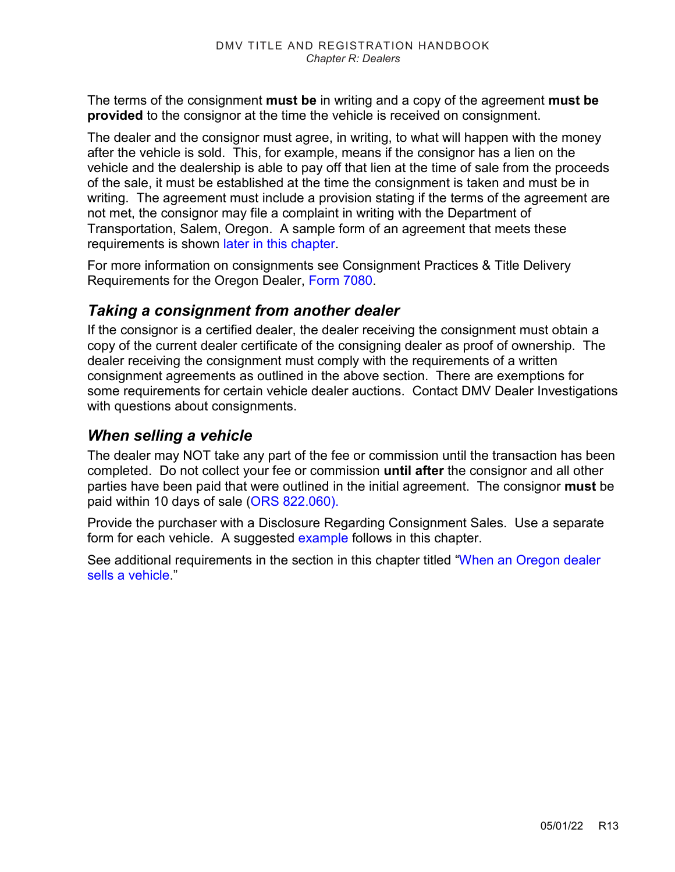The terms of the consignment **must be** in writing and a copy of the agreement **must be provided** to the consignor at the time the vehicle is received on consignment.

The dealer and the consignor must agree, in writing, to what will happen with the money after the vehicle is sold. This, for example, means if the consignor has a lien on the vehicle and the dealership is able to pay off that lien at the time of sale from the proceeds of the sale, it must be established at the time the consignment is taken and must be in writing. The agreement must include a provision stating if the terms of the agreement are not met, the consignor may file a complaint in writing with the Department of Transportation, Salem, Oregon. A sample form of an agreement that meets these requirements is shown [later in this chapter.](#page-13-0)

For more information on consignments see Consignment Practices & Title Delivery Requirements for the Oregon Dealer, [Form 7080.](http://transnet.odot.state.or.us/cs/forms/DMV/7080.pdf)

#### *Taking a consignment from another dealer*

If the consignor is a certified dealer, the dealer receiving the consignment must obtain a copy of the current dealer certificate of the consigning dealer as proof of ownership. The dealer receiving the consignment must comply with the requirements of a written consignment agreements as outlined in the above section. There are exemptions for some requirements for certain vehicle dealer auctions. Contact DMV Dealer Investigations with questions about consignments.

#### *When selling a vehicle*

The dealer may NOT take any part of the fee or commission until the transaction has been completed. Do not collect your fee or commission **until after** the consignor and all other parties have been paid that were outlined in the initial agreement. The consignor **must** be paid within 10 days of sale [\(ORS 822.060\).](https://www.oregonlegislature.gov/bills_laws/ors/ors822.html) 

Provide the purchaser with a Disclosure Regarding Consignment Sales. Use a separate form for each vehicle. A suggested [example](#page-14-1) follows in this chapter.

See additional requirements in the section in this chapter titled ["When an Oregon dealer](#page-7-0)  [sells a vehicle.](#page-7-0)"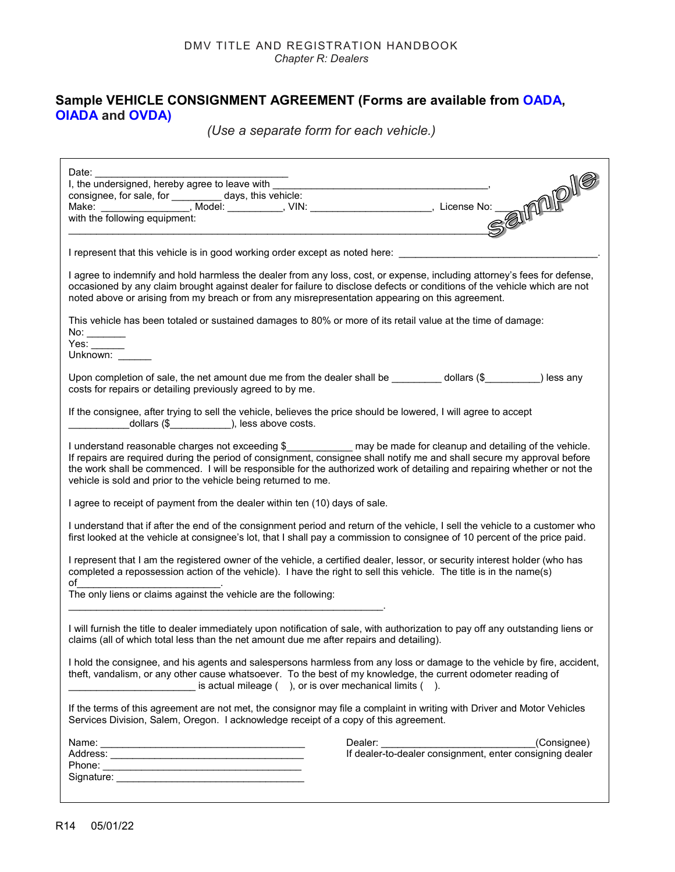#### <span id="page-13-0"></span>**Sample VEHICLE CONSIGNMENT AGREEMENT (Forms are available from [OADA,](http://www.oada.biz/) [OIADA](http://www.oiada.com/) and [OVDA\)](https://www.ordealers.com/)**

*(Use a separate form for each vehicle.)*

| I represent that this vehicle is in good working order except as noted here: ______________________                                                                                                                                                                                                                                                                                                                                           |                                                                                                               |  |
|-----------------------------------------------------------------------------------------------------------------------------------------------------------------------------------------------------------------------------------------------------------------------------------------------------------------------------------------------------------------------------------------------------------------------------------------------|---------------------------------------------------------------------------------------------------------------|--|
| I agree to indemnify and hold harmless the dealer from any loss, cost, or expense, including attorney's fees for defense,<br>occasioned by any claim brought against dealer for failure to disclose defects or conditions of the vehicle which are not<br>noted above or arising from my breach or from any misrepresentation appearing on this agreement.                                                                                    |                                                                                                               |  |
| This vehicle has been totaled or sustained damages to 80% or more of its retail value at the time of damage:<br>No: ________<br>Yes: $\_\_$<br>Unknown:                                                                                                                                                                                                                                                                                       |                                                                                                               |  |
| Upon completion of sale, the net amount due me from the dealer shall be _________ dollars (\$_________) less any<br>costs for repairs or detailing previously agreed to by me.                                                                                                                                                                                                                                                                |                                                                                                               |  |
| If the consignee, after trying to sell the vehicle, believes the price should be lowered, I will agree to accept                                                                                                                                                                                                                                                                                                                              |                                                                                                               |  |
| I understand reasonable charges not exceeding \$______________ may be made for cleanup and detailing of the vehicle.<br>If repairs are required during the period of consignment, consignee shall notify me and shall secure my approval before<br>the work shall be commenced. I will be responsible for the authorized work of detailing and repairing whether or not the<br>vehicle is sold and prior to the vehicle being returned to me. |                                                                                                               |  |
| I agree to receipt of payment from the dealer within ten (10) days of sale.                                                                                                                                                                                                                                                                                                                                                                   |                                                                                                               |  |
| I understand that if after the end of the consignment period and return of the vehicle, I sell the vehicle to a customer who<br>first looked at the vehicle at consignee's lot, that I shall pay a commission to consignee of 10 percent of the price paid.                                                                                                                                                                                   |                                                                                                               |  |
| I represent that I am the registered owner of the vehicle, a certified dealer, lessor, or security interest holder (who has<br>completed a repossession action of the vehicle). I have the right to sell this vehicle. The title is in the name(s)                                                                                                                                                                                            |                                                                                                               |  |
| $\mathsf{of}$ . The contract of $\mathsf{C}$<br>The only liens or claims against the vehicle are the following:                                                                                                                                                                                                                                                                                                                               |                                                                                                               |  |
| I will furnish the title to dealer immediately upon notification of sale, with authorization to pay off any outstanding liens or<br>claims (all of which total less than the net amount due me after repairs and detailing).                                                                                                                                                                                                                  |                                                                                                               |  |
| I hold the consignee, and his agents and salespersons harmless from any loss or damage to the vehicle by fire, accident,<br>theft, vandalism, or any other cause whatsoever. To the best of my knowledge, the current odometer reading of<br>is actual mileage (), or is over mechanical limits ().                                                                                                                                           |                                                                                                               |  |
| If the terms of this agreement are not met, the consignor may file a complaint in writing with Driver and Motor Vehicles<br>Services Division, Salem, Oregon. I acknowledge receipt of a copy of this agreement.                                                                                                                                                                                                                              |                                                                                                               |  |
|                                                                                                                                                                                                                                                                                                                                                                                                                                               |                                                                                                               |  |
|                                                                                                                                                                                                                                                                                                                                                                                                                                               | Dealer: ______________________________(Consignee)<br>If dealer-to-dealer consignment, enter consigning dealer |  |
|                                                                                                                                                                                                                                                                                                                                                                                                                                               |                                                                                                               |  |
|                                                                                                                                                                                                                                                                                                                                                                                                                                               |                                                                                                               |  |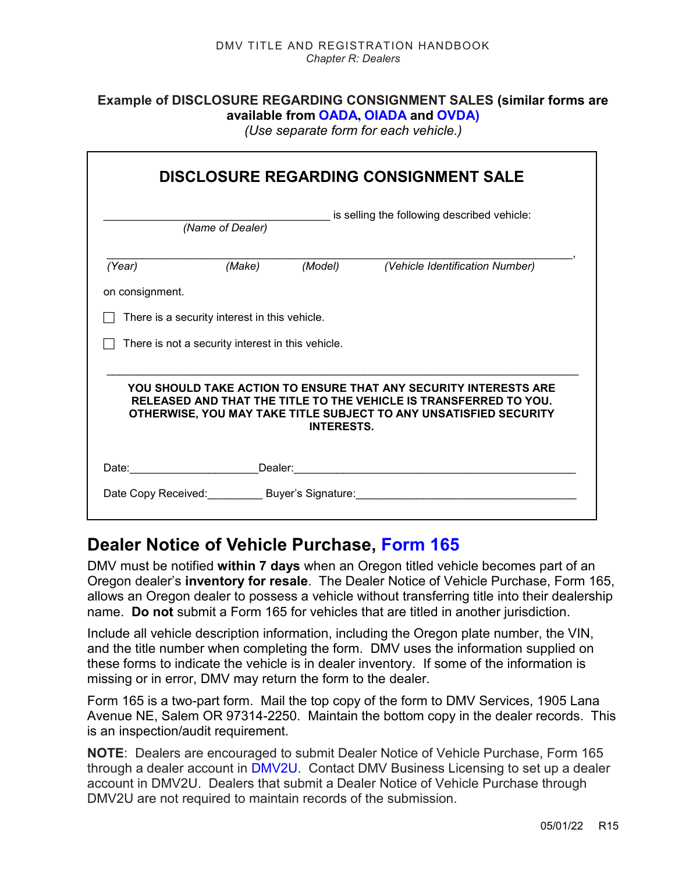#### <span id="page-14-1"></span>**Example of DISCLOSURE REGARDING CONSIGNMENT SALES (similar forms are available from [OADA](http://www.oada.biz/), [OIADA](http://www.oiada.com/) and [OVDA\)](https://www.ordealers.com/)**

*(Use separate form for each vehicle.)* 

|                 |                                                   |                   | <b>DISCLOSURE REGARDING CONSIGNMENT SALE</b>                                                                                                                                                               |
|-----------------|---------------------------------------------------|-------------------|------------------------------------------------------------------------------------------------------------------------------------------------------------------------------------------------------------|
|                 | (Name of Dealer)                                  |                   | is selling the following described vehicle:                                                                                                                                                                |
| (Year)          | (Make)                                            | (Mode)            | (Vehicle Identification Number)                                                                                                                                                                            |
| on consignment. |                                                   |                   |                                                                                                                                                                                                            |
|                 | There is a security interest in this vehicle.     |                   |                                                                                                                                                                                                            |
|                 | There is not a security interest in this vehicle. |                   |                                                                                                                                                                                                            |
|                 |                                                   | <b>INTERESTS.</b> | YOU SHOULD TAKE ACTION TO ENSURE THAT ANY SECURITY INTERESTS ARE<br>RELEASED AND THAT THE TITLE TO THE VEHICLE IS TRANSFERRED TO YOU.<br>OTHERWISE, YOU MAY TAKE TITLE SUBJECT TO ANY UNSATISFIED SECURITY |
|                 |                                                   |                   |                                                                                                                                                                                                            |
|                 |                                                   |                   | Date Copy Received: Buyer's Signature: Mate Copy Received:                                                                                                                                                 |

### <span id="page-14-0"></span>**Dealer Notice of Vehicle Purchase, [Form 165](https://www.odot.state.or.us/forms/dmv/165fill.pdf)**

DMV must be notified **within 7 days** when an Oregon titled vehicle becomes part of an Oregon dealer's **inventory for resale**. The Dealer Notice of Vehicle Purchase, Form 165, allows an Oregon dealer to possess a vehicle without transferring title into their dealership name. **Do not** submit a Form 165 for vehicles that are titled in another jurisdiction.

Include all vehicle description information, including the Oregon plate number, the VIN, and the title number when completing the form. DMV uses the information supplied on these forms to indicate the vehicle is in dealer inventory. If some of the information is missing or in error, DMV may return the form to the dealer.

Form 165 is a two-part form. Mail the top copy of the form to DMV Services, 1905 Lana Avenue NE, Salem OR 97314-2250. Maintain the bottom copy in the dealer records. This is an inspection/audit requirement.

**NOTE**: Dealers are encouraged to submit Dealer Notice of Vehicle Purchase, Form 165 through a dealer account in [DMV2U.](https://ordsvsstgext.odot.state.or.us/eServices/_/#1) Contact DMV Business Licensing to set up a dealer account in DMV2U. Dealers that submit a Dealer Notice of Vehicle Purchase through DMV2U are not required to maintain records of the submission.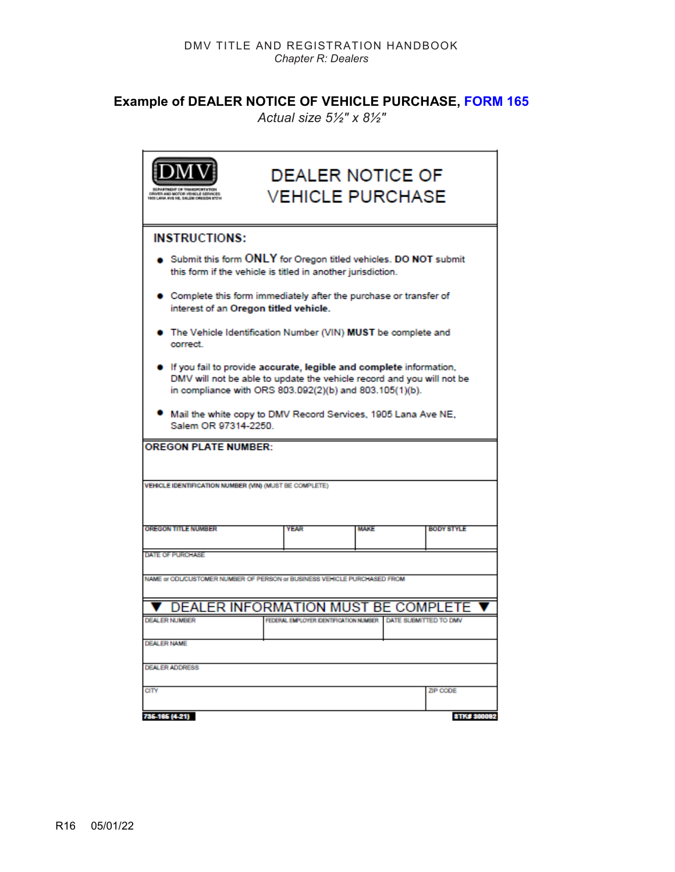### **Example of DEALER NOTICE OF VEHICLE PURCHASE, [FORM 165](https://www.odot.state.or.us/forms/dmv/165fill.pdf)**

*Actual size 5½" x 8½"*

|                                                                                                                                                                                                        |                                       | <b>DEALER NOTICE OF</b><br><b>VEHICLE PURCHASE</b> |                       |
|--------------------------------------------------------------------------------------------------------------------------------------------------------------------------------------------------------|---------------------------------------|----------------------------------------------------|-----------------------|
| <b>INSTRUCTIONS:</b>                                                                                                                                                                                   |                                       |                                                    |                       |
| Submit this form ONLY for Oregon titled vehicles. DO NOT submit<br>this form if the vehicle is titled in another jurisdiction.                                                                         |                                       |                                                    |                       |
| Complete this form immediately after the purchase or transfer of<br>interest of an Oregon titled vehicle.                                                                                              |                                       |                                                    |                       |
| The Vehicle Identification Number (VIN) MUST be complete and<br>correct.                                                                                                                               |                                       |                                                    |                       |
| If you fail to provide accurate, legible and complete information,<br>DMV will not be able to update the vehicle record and you will not be<br>in compliance with ORS 803.092(2)(b) and 803.105(1)(b). |                                       |                                                    |                       |
| Mail the white copy to DMV Record Services, 1905 Lana Ave NE,<br>Salem OR 97314-2250.                                                                                                                  |                                       |                                                    |                       |
| <b>OREGON PLATE NUMBER:</b>                                                                                                                                                                            |                                       |                                                    |                       |
| VEHICLE IDENTIFICATION NUMBER (VIN) (MUST BE COMPLETE)                                                                                                                                                 |                                       |                                                    |                       |
| <b>OREGON TITLE NUMBER</b>                                                                                                                                                                             | <b>YEAR</b>                           | <b>MAKE</b>                                        | <b>BODY STYLE</b>     |
| DATE OF PURCHASE                                                                                                                                                                                       |                                       |                                                    |                       |
| NAME or ODLICUSTOMER NUMBER OF PERSON or BUSINESS VEHICLE PURCHASED FROM                                                                                                                               |                                       |                                                    |                       |
| <b>V DEALER INFORMATION MUST BE COMPLETE</b>                                                                                                                                                           |                                       |                                                    |                       |
| <b>DEALER NUMBER</b>                                                                                                                                                                                   | FEDERAL EMPLOYER DENTIFICATION NUMBER |                                                    | DATE SUBMITTED TO DMV |
| <b>DEALER NAME</b>                                                                                                                                                                                     |                                       |                                                    |                       |
| <b>DEALER ADDRESS</b>                                                                                                                                                                                  |                                       |                                                    |                       |
| aty                                                                                                                                                                                                    |                                       |                                                    | ZIP CODE              |
| 735-185 (4-21)                                                                                                                                                                                         |                                       |                                                    | <b>STK# 300082</b>    |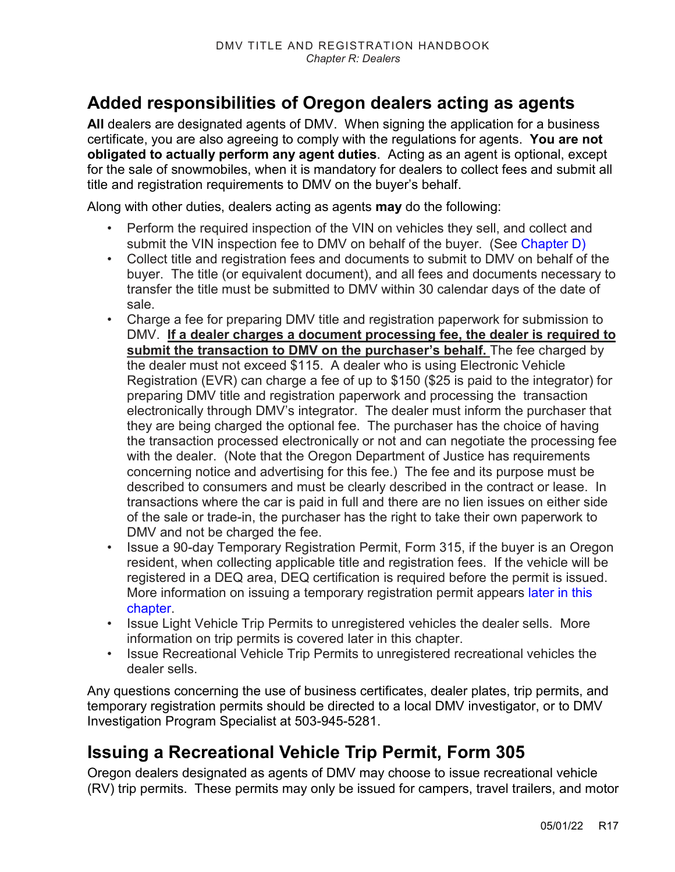## **Added responsibilities of Oregon dealers acting as agents**

**All** dealers are designated agents of DMV. When signing the application for a business certificate, you are also agreeing to comply with the regulations for agents. **You are not obligated to actually perform any agent duties**. Acting as an agent is optional, except for the sale of snowmobiles, when it is mandatory for dealers to collect fees and submit all title and registration requirements to DMV on the buyer's behalf.

Along with other duties, dealers acting as agents **may** do the following:

- Perform the required inspection of the VIN on vehicles they sell, and collect and submit the VIN inspection fee to DMV on behalf of the buyer. (See [Chapter D\)](https://www.oregon.gov/ODOT/DMV/docs/VTRH/Chapter_D.pdf)
- Collect title and registration fees and documents to submit to DMV on behalf of the buyer. The title (or equivalent document), and all fees and documents necessary to transfer the title must be submitted to DMV within 30 calendar days of the date of sale.
- Charge a fee for preparing DMV title and registration paperwork for submission to DMV. **If a dealer charges a document processing fee, the dealer is required to submit the transaction to DMV on the purchaser's behalf.** The fee charged by the dealer must not exceed \$115. A dealer who is using Electronic Vehicle Registration (EVR) can charge a fee of up to \$150 (\$25 is paid to the integrator) for preparing DMV title and registration paperwork and processing the transaction electronically through DMV's integrator. The dealer must inform the purchaser that they are being charged the optional fee. The purchaser has the choice of having the transaction processed electronically or not and can negotiate the processing fee with the dealer. (Note that the Oregon Department of Justice has requirements concerning notice and advertising for this fee.) The fee and its purpose must be described to consumers and must be clearly described in the contract or lease. In transactions where the car is paid in full and there are no lien issues on either side of the sale or trade-in, the purchaser has the right to take their own paperwork to DMV and not be charged the fee.
- Issue a 90-day Temporary Registration Permit, Form 315, if the buyer is an Oregon resident, when collecting applicable title and registration fees. If the vehicle will be registered in a DEQ area, DEQ certification is required before the permit is issued. More information on issuing a temporary registration permit appears [later in this](#page-24-0)  [chapter.](#page-24-0)
- Issue Light Vehicle Trip Permits to unregistered vehicles the dealer sells. More information on trip permits is covered later in this chapter.
- Issue Recreational Vehicle Trip Permits to unregistered recreational vehicles the dealer sells.

Any questions concerning the use of business certificates, dealer plates, trip permits, and temporary registration permits should be directed to a local DMV investigator, or to DMV Investigation Program Specialist at 503-945-5281.

### **Issuing a Recreational Vehicle Trip Permit, Form 305**

Oregon dealers designated as agents of DMV may choose to issue recreational vehicle (RV) trip permits. These permits may only be issued for campers, travel trailers, and motor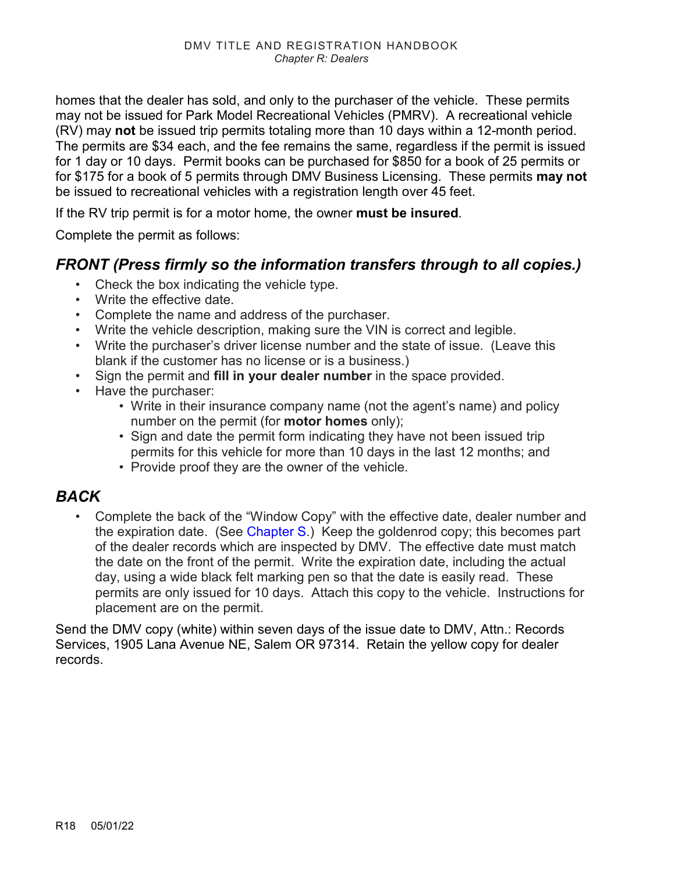homes that the dealer has sold, and only to the purchaser of the vehicle. These permits may not be issued for Park Model Recreational Vehicles (PMRV). A recreational vehicle (RV) may **not** be issued trip permits totaling more than 10 days within a 12-month period. The permits are \$34 each, and the fee remains the same, regardless if the permit is issued for 1 day or 10 days. Permit books can be purchased for \$850 for a book of 25 permits or for \$175 for a book of 5 permits through DMV Business Licensing. These permits **may not** be issued to recreational vehicles with a registration length over 45 feet.

If the RV trip permit is for a motor home, the owner **must be insured**.

Complete the permit as follows:

#### *FRONT (Press firmly so the information transfers through to all copies.)*

- Check the box indicating the vehicle type.
- Write the effective date.
- Complete the name and address of the purchaser.
- Write the vehicle description, making sure the VIN is correct and legible.
- Write the purchaser's driver license number and the state of issue. (Leave this blank if the customer has no license or is a business.)
- Sign the permit and **fill in your dealer number** in the space provided.
- Have the purchaser:
	- Write in their insurance company name (not the agent's name) and policy number on the permit (for **motor homes** only);
	- Sign and date the permit form indicating they have not been issued trip permits for this vehicle for more than 10 days in the last 12 months; and
	- Provide proof they are the owner of the vehicle.

#### *BACK*

• Complete the back of the "Window Copy" with the effective date, dealer number and the expiration date. (See [Chapter S.](https://www.oregon.gov/ODOT/DMV/docs/VTRH/Chapter_S.pdf)) Keep the goldenrod copy; this becomes part of the dealer records which are inspected by DMV. The effective date must match the date on the front of the permit. Write the expiration date, including the actual day, using a wide black felt marking pen so that the date is easily read. These permits are only issued for 10 days. Attach this copy to the vehicle. Instructions for placement are on the permit.

Send the DMV copy (white) within seven days of the issue date to DMV, Attn.: Records Services, 1905 Lana Avenue NE, Salem OR 97314. Retain the yellow copy for dealer records.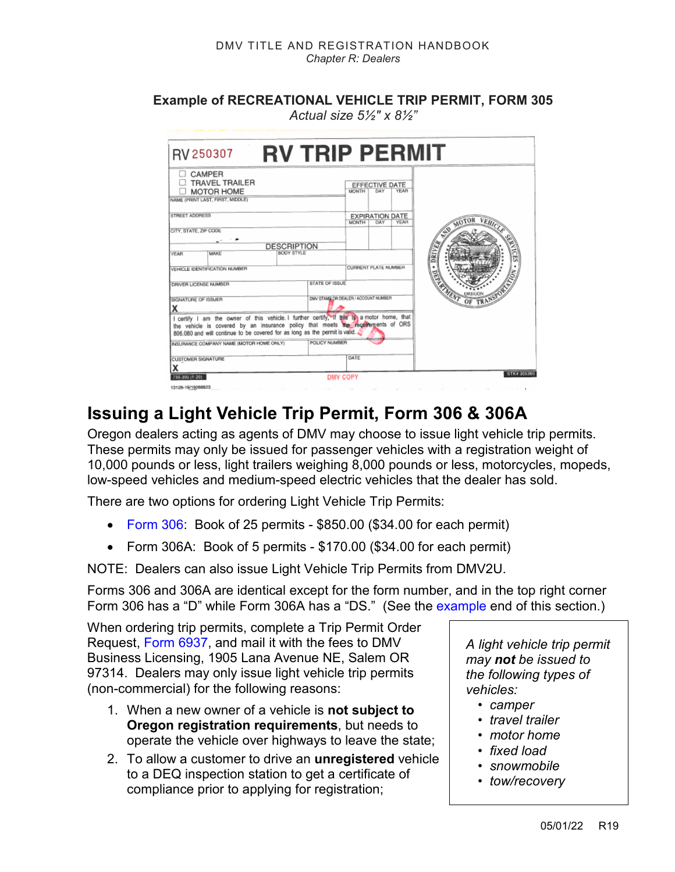**Example of RECREATIONAL VEHICLE TRIP PERMIT, FORM 305**  *Actual size 5½" x 8½"*

| RV 250307                                                                                                                                                                                                                                                  |                                  | <b>RV TRIP PERMIT</b>                |                             |                               |             |            |
|------------------------------------------------------------------------------------------------------------------------------------------------------------------------------------------------------------------------------------------------------------|----------------------------------|--------------------------------------|-----------------------------|-------------------------------|-------------|------------|
| CAMPER<br><b>TRAVEL TRAILER</b><br><b>MOTOR HOME</b><br>NAME (PRINT LAST, FIRST, MIDDLE)                                                                                                                                                                   |                                  |                                      | <b>MONTH</b>                | EFFECTIVE DATE<br>DAY         | YEAR        |            |
| STREET ADDRESS                                                                                                                                                                                                                                             |                                  |                                      | <b>MONTH</b>                | <b>EXPIRATION DATE</b><br>DAY | <b>YEAR</b> |            |
| CITY, STATE, ZIP CODE<br>MAKE<br><b>YEAR</b>                                                                                                                                                                                                               | <b>DESCRIPTION</b><br>BODY STYLE |                                      |                             |                               |             | DR         |
| VEHICLE IDENTIFICATION NUMBER                                                                                                                                                                                                                              |                                  |                                      | <b>CURRENT PLATE NUMBER</b> |                               |             |            |
| DRIVER LICENSE NUMBER                                                                                                                                                                                                                                      |                                  | STATE OF ISSUE                       |                             |                               |             |            |
| SIGNATURE OF ISSUER<br>x                                                                                                                                                                                                                                   |                                  | DWV STAMP OR DEALER / ACCOUNT NUMBER |                             |                               |             |            |
| I certify I am the owner of this vehicle. I further certify, if this Is a motor home, that<br>the vehicle is covered by an insurance policy that meets the recordent of ORS<br>806.080 and will continue to be covered for as long as the permit is valid. |                                  |                                      |                             |                               |             |            |
| INSURANCE COMPANY NAME (MOTOR HOME ONLY)                                                                                                                                                                                                                   |                                  | POLICY NUMBER                        |                             |                               |             |            |
| <b>CUSTOMER SIGNATURE</b>                                                                                                                                                                                                                                  |                                  |                                      | DATE                        |                               |             |            |
| 735-305 (1-20)                                                                                                                                                                                                                                             |                                  |                                      | <b>DMV COPY</b>             |                               |             | STK#305360 |

## **Issuing a Light Vehicle Trip Permit, Form 306 & 306A**

Oregon dealers acting as agents of DMV may choose to issue light vehicle trip permits. These permits may only be issued for passenger vehicles with a registration weight of 10,000 pounds or less, light trailers weighing 8,000 pounds or less, motorcycles, mopeds, low-speed vehicles and medium-speed electric vehicles that the dealer has sold.

There are two options for ordering Light Vehicle Trip Permits:

- [Form 306:](#page-20-0) Book of 25 permits \$850.00 (\$34.00 for each permit)
- Form 306A: Book of 5 permits \$170.00 (\$34.00 for each permit)

NOTE: Dealers can also issue Light Vehicle Trip Permits from DMV2U.

Forms 306 and 306A are identical except for the form number, and in the top right corner Form 306 has a "D" while Form 306A has a "DS." (See the [example e](#page-20-0)nd of this section.)

When ordering trip permits, complete a Trip Permit Order Request, [Form 6937,](https://www.odot.state.or.us/forms/dmv/6937fill.pdf) and mail it with the fees to DMV Business Licensing, 1905 Lana Avenue NE, Salem OR 97314. Dealers may only issue light vehicle trip permits (non-commercial) for the following reasons:

- 1. When a new owner of a vehicle is **not subject to Oregon registration requirements**, but needs to operate the vehicle over highways to leave the state;
- 2. To allow a customer to drive an **unregistered** vehicle to a DEQ inspection station to get a certificate of compliance prior to applying for registration;

*A light vehicle trip permit may not be issued to the following types of vehicles:*

- *camper*
- *travel trailer*
- *motor home*
- *fixed load*
- *snowmobile*
- *tow/recovery*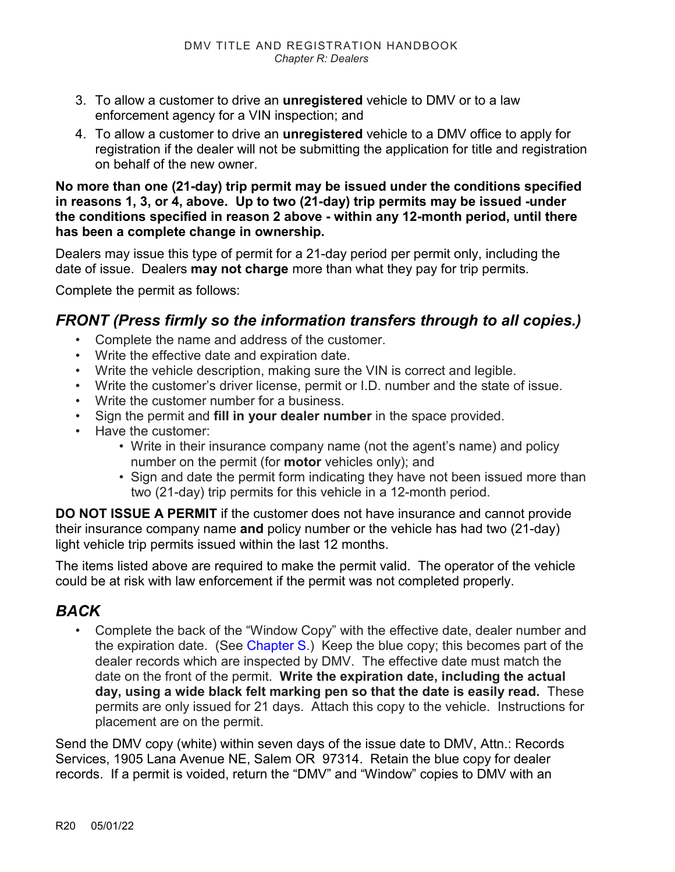- 3. To allow a customer to drive an **unregistered** vehicle to DMV or to a law enforcement agency for a VIN inspection; and
- 4. To allow a customer to drive an **unregistered** vehicle to a DMV office to apply for registration if the dealer will not be submitting the application for title and registration on behalf of the new owner.

#### **No more than one (21-day) trip permit may be issued under the conditions specified in reasons 1, 3, or 4, above. Up to two (21-day) trip permits may be issued -under the conditions specified in reason 2 above - within any 12-month period, until there has been a complete change in ownership.**

Dealers may issue this type of permit for a 21-day period per permit only, including the date of issue. Dealers **may not charge** more than what they pay for trip permits.

Complete the permit as follows:

#### *FRONT (Press firmly so the information transfers through to all copies.)*

- Complete the name and address of the customer.
- Write the effective date and expiration date.
- Write the vehicle description, making sure the VIN is correct and legible.
- Write the customer's driver license, permit or I.D. number and the state of issue.
- Write the customer number for a business.
- Sign the permit and **fill in your dealer number** in the space provided.
- Have the customer:
	- Write in their insurance company name (not the agent's name) and policy number on the permit (for **motor** vehicles only); and
	- Sign and date the permit form indicating they have not been issued more than two (21-day) trip permits for this vehicle in a 12-month period.

**DO NOT ISSUE A PERMIT** if the customer does not have insurance and cannot provide their insurance company name **and** policy number or the vehicle has had two (21-day) light vehicle trip permits issued within the last 12 months.

The items listed above are required to make the permit valid. The operator of the vehicle could be at risk with law enforcement if the permit was not completed properly.

#### *BACK*

• Complete the back of the "Window Copy" with the effective date, dealer number and the expiration date. (See [Chapter S.](https://www.oregon.gov/ODOT/DMV/docs/VTRH/Chapter_S.pdf)) Keep the blue copy; this becomes part of the dealer records which are inspected by DMV. The effective date must match the date on the front of the permit. **Write the expiration date, including the actual day, using a wide black felt marking pen so that the date is easily read.** These permits are only issued for 21 days. Attach this copy to the vehicle. Instructions for placement are on the permit.

Send the DMV copy (white) within seven days of the issue date to DMV, Attn.: Records Services, 1905 Lana Avenue NE, Salem OR 97314. Retain the blue copy for dealer records. If a permit is voided, return the "DMV" and "Window" copies to DMV with an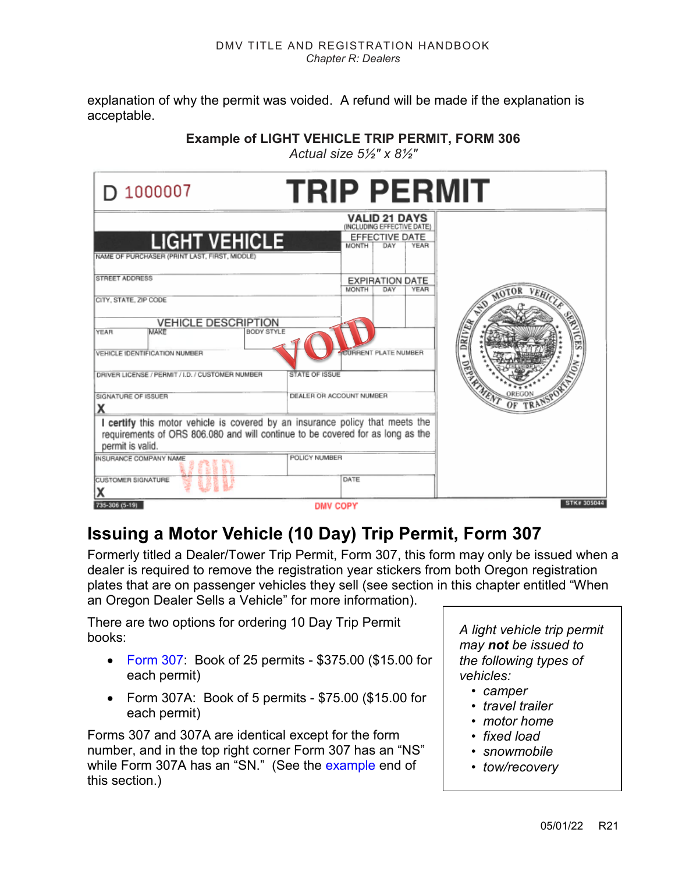<span id="page-20-0"></span>explanation of why the permit was voided. A refund will be made if the explanation is acceptable.

*Actual size 5½" x 8½"*

| D 1000007                                                                                                                                                                           | <b>TRIP PERMIT</b>                                                                                         |                   |
|-------------------------------------------------------------------------------------------------------------------------------------------------------------------------------------|------------------------------------------------------------------------------------------------------------|-------------------|
| <b>LIGHT VEHICLE</b><br>NAME OF PURCHASER (PRINT LAST, FIRST, MIDDLE)                                                                                                               | <b>VALID 21 DAYS</b><br>(INCLUDING EFFECTIVE DATE)<br>EFFECTIVE DATE<br><b>MONTH</b><br>DAY<br><b>YEAR</b> |                   |
| STREET ADDRESS<br>CITY, STATE, ZIP CODE                                                                                                                                             | <b>EXPIRATION DATE</b><br>MONTH<br>DAY<br>YEAR                                                             | AOTOR             |
| <b>VEHICLE DESCRIPTION</b><br><b>MAKE</b><br><b>BODY STYLE</b><br>YEAR<br>VEHICLE IDENTIFICATION NUMBER<br>DRIVER LICENSE / PERMIT / I.D. / CUSTOMER NUMBER                         | <b>CURRENT PLATE NUMBER</b><br><b>STATE OF ISSUE</b>                                                       | 9                 |
| SIGNATURE OF ISSUER<br>χ                                                                                                                                                            | DEALER OR ACCOUNT NUMBER                                                                                   |                   |
| I certify this motor vehicle is covered by an insurance policy that meets the<br>requirements of ORS 806.080 and will continue to be covered for as long as the<br>permit is valid. |                                                                                                            |                   |
| INSURANCE COMPANY NAME<br>CUSTOMER SIGNATURE                                                                                                                                        | POLICY NUMBER<br>DATE                                                                                      |                   |
| 735-306 (5-19)                                                                                                                                                                      | <b>DMV COPY</b>                                                                                            | <b>STK#305044</b> |

### **Issuing a Motor Vehicle (10 Day) Trip Permit, Form 307**

Formerly titled a Dealer/Tower Trip Permit, Form 307, this form may only be issued when a dealer is required to remove the registration year stickers from both Oregon registration plates that are on passenger vehicles they sell (see section in this chapter entitled "When an Oregon Dealer Sells a Vehicle" for more information).

There are two options for ordering 10 Day Trip Permit books:

- [Form 307:](#page-22-0) Book of 25 permits \$375.00 (\$15.00 for each permit)
- Form 307A: Book of 5 permits \$75.00 (\$15.00 for each permit)

Forms 307 and 307A are identical except for the form number, and in the top right corner Form 307 has an "NS" while Form 307A has an "SN." (See the [example e](#page-22-0)nd of this section.)

*A light vehicle trip permit may not be issued to the following types of vehicles:*

- *camper*
- *travel trailer*
- *motor home*
- *fixed load*
- *snowmobile*
- *tow/recovery*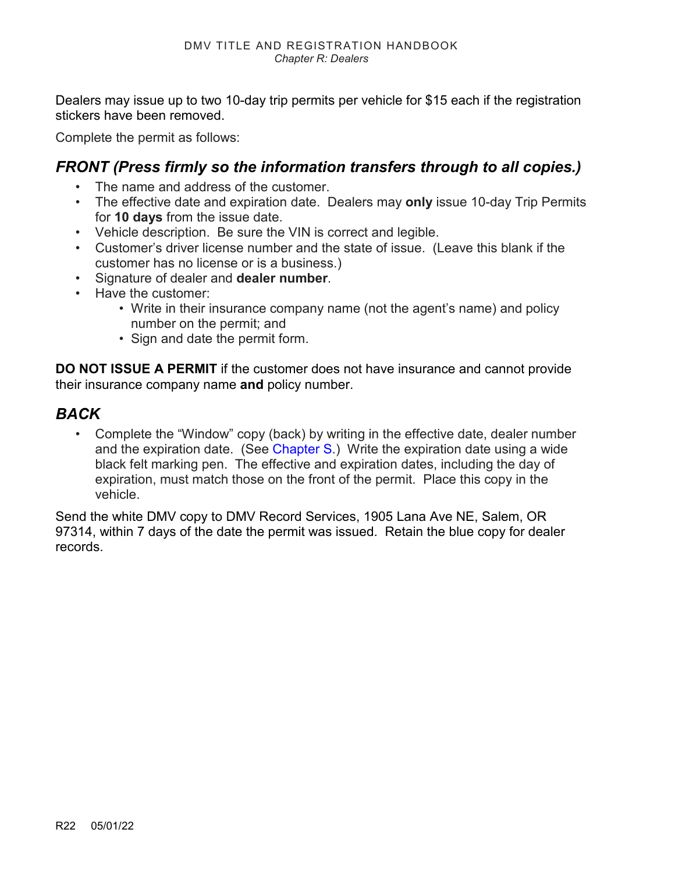Dealers may issue up to two 10-day trip permits per vehicle for \$15 each if the registration stickers have been removed.

Complete the permit as follows:

### *FRONT (Press firmly so the information transfers through to all copies.)*

- The name and address of the customer.
- The effective date and expiration date. Dealers may **only** issue 10-day Trip Permits for **10 days** from the issue date.
- Vehicle description. Be sure the VIN is correct and legible.
- Customer's driver license number and the state of issue. (Leave this blank if the customer has no license or is a business.)
- Signature of dealer and **dealer number**.
- Have the customer:
	- Write in their insurance company name (not the agent's name) and policy number on the permit; and
	- Sign and date the permit form.

**DO NOT ISSUE A PERMIT** if the customer does not have insurance and cannot provide their insurance company name **and** policy number.

#### *BACK*

• Complete the "Window" copy (back) by writing in the effective date, dealer number and the expiration date. (See [Chapter S.](https://www.oregon.gov/ODOT/DMV/docs/VTRH/Chapter_S.pdf)) Write the expiration date using a wide black felt marking pen. The effective and expiration dates, including the day of expiration, must match those on the front of the permit. Place this copy in the vehicle.

Send the white DMV copy to DMV Record Services, 1905 Lana Ave NE, Salem, OR 97314, within 7 days of the date the permit was issued. Retain the blue copy for dealer records.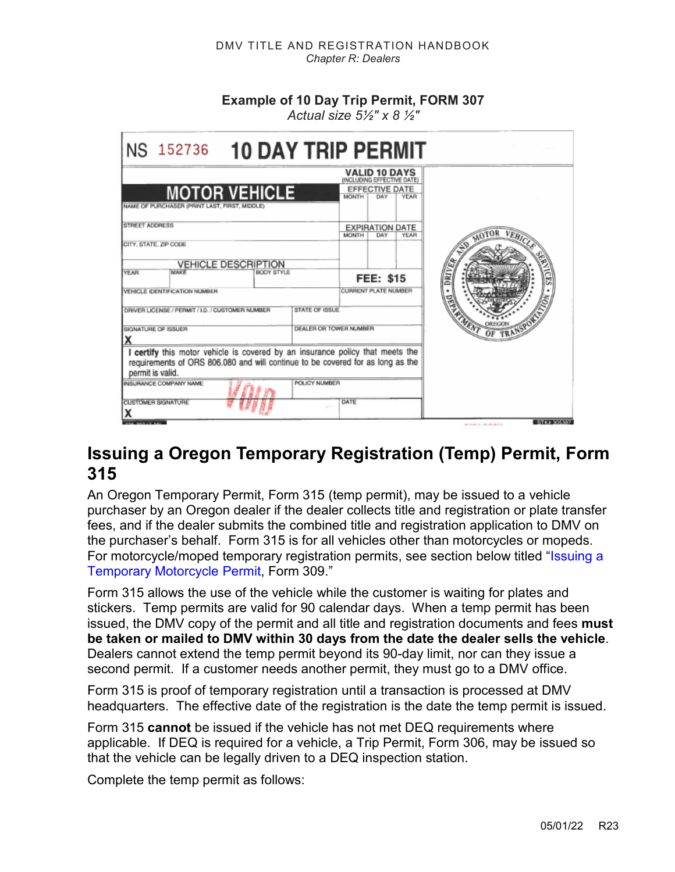#### **Example of 10 Day Trip Permit, FORM 307**

*Actual size 5½" x 8 ½"*

<span id="page-22-0"></span>

| NS 152736                                                                                                                                                                           | <b>10 DAY TRIP PERMIT</b>                                                                                  |                           |
|-------------------------------------------------------------------------------------------------------------------------------------------------------------------------------------|------------------------------------------------------------------------------------------------------------|---------------------------|
| <b>MOTOR VEHICLE</b><br>NAME OF PURCHASER (PRINT LAST, FIRST, MIDDLE)                                                                                                               | <b>VALID 10 DAYS</b><br>(INCLUDING EFFECTIVE DATE)<br>EFFECTIVE DATE<br><b>YEAR</b><br><b>MONTH</b><br>DAY |                           |
| STREET ADDRESS<br>CITY, STATE, ZIP CODE                                                                                                                                             | <b>EXPIRATION DATE</b><br><b>MONTH</b><br>DAY<br>YEAR                                                      |                           |
| <b>VEHICLE DESCRIPTION</b><br>MAKE<br><b>YEAR</b><br><b>BODY STYLE</b>                                                                                                              | <b>FEE: \$15</b>                                                                                           |                           |
| VEHICLE IDENTIFICATION NUMBER<br>DRIVER LICENSE / PERMIT / I.D. / CUSTOMER NUMBER                                                                                                   | <b>CURRENT PLATE NUMBER</b><br>STATE OF ISSUE                                                              |                           |
| SIGNATURE OF ISSUER                                                                                                                                                                 | DEALER OR TOWER NUMBER                                                                                     |                           |
| I certify this motor vehicle is covered by an insurance policy that meets the<br>requirements of ORS 806.080 and will continue to be covered for as long as the<br>permit is valid. |                                                                                                            |                           |
| INSURANCE COMPANY NAME<br><b>CUSTOMER SIGNATURE</b>                                                                                                                                 | <b>POLICY NUMBER</b><br>DATE                                                                               |                           |
| 307.07.101                                                                                                                                                                          |                                                                                                            | STK4 305307<br>---------- |

### <span id="page-22-1"></span>**Issuing a Oregon Temporary Registration (Temp) Permit, Form 315**

An Oregon Temporary Permit, Form 315 (temp permit), may be issued to a vehicle purchaser by an Oregon dealer if the dealer collects title and registration or plate transfer fees, and if the dealer submits the combined title and registration application to DMV on the purchaser's behalf. Form 315 is for all vehicles other than motorcycles or mopeds. For motorcycle/moped temporary registration permits, see section below titled ["Issuing a](#page-24-1)  [Temporary Motorcycle Permit,](#page-24-1) Form 309."

Form 315 allows the use of the vehicle while the customer is waiting for plates and stickers. Temp permits are valid for 90 calendar days. When a temp permit has been issued, the DMV copy of the permit and all title and registration documents and fees **must be taken or mailed to DMV within 30 days from the date the dealer sells the vehicle**. Dealers cannot extend the temp permit beyond its 90-day limit, nor can they issue a second permit. If a customer needs another permit, they must go to a DMV office.

Form 315 is proof of temporary registration until a transaction is processed at DMV headquarters. The effective date of the registration is the date the temp permit is issued.

Form 315 **cannot** be issued if the vehicle has not met DEQ requirements where applicable. If DEQ is required for a vehicle, a Trip Permit, Form 306, may be issued so that the vehicle can be legally driven to a DEQ inspection station.

Complete the temp permit as follows: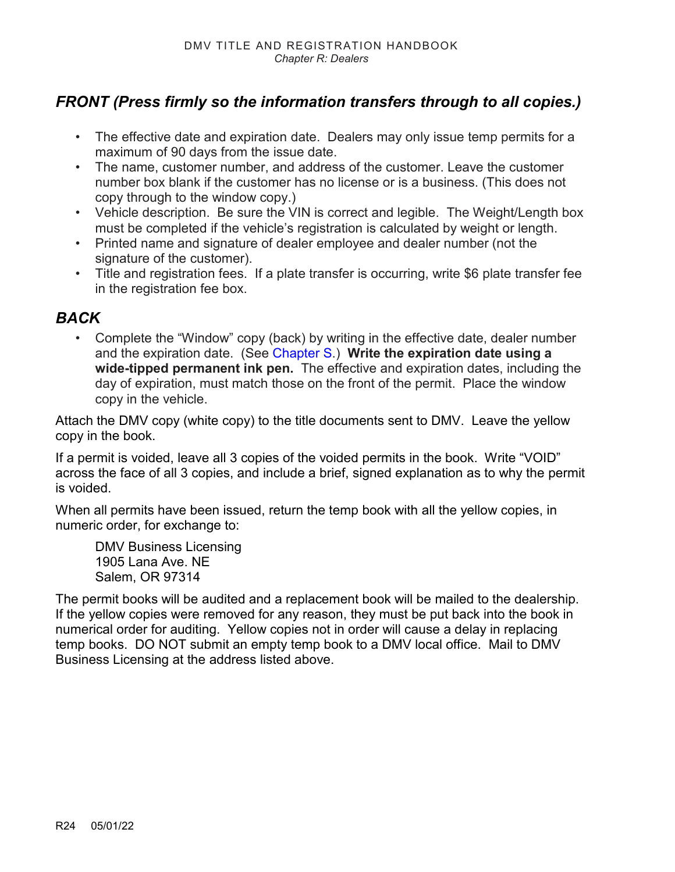### *FRONT (Press firmly so the information transfers through to all copies.)*

- The effective date and expiration date. Dealers may only issue temp permits for a maximum of 90 days from the issue date.
- The name, customer number, and address of the customer. Leave the customer number box blank if the customer has no license or is a business. (This does not copy through to the window copy.)
- Vehicle description. Be sure the VIN is correct and legible. The Weight/Length box must be completed if the vehicle's registration is calculated by weight or length.
- Printed name and signature of dealer employee and dealer number (not the signature of the customer).
- Title and registration fees. If a plate transfer is occurring, write \$6 plate transfer fee in the registration fee box.

#### *BACK*

• Complete the "Window" copy (back) by writing in the effective date, dealer number and the expiration date. (See [Chapter S.](https://www.oregon.gov/ODOT/DMV/docs/VTRH/Chapter_S.pdf)) **Write the expiration date using a wide-tipped permanent ink pen.** The effective and expiration dates, including the day of expiration, must match those on the front of the permit. Place the window copy in the vehicle.

Attach the DMV copy (white copy) to the title documents sent to DMV. Leave the yellow copy in the book.

If a permit is voided, leave all 3 copies of the voided permits in the book. Write "VOID" across the face of all 3 copies, and include a brief, signed explanation as to why the permit is voided.

When all permits have been issued, return the temp book with all the yellow copies, in numeric order, for exchange to:

DMV Business Licensing 1905 Lana Ave. NE Salem, OR 97314

The permit books will be audited and a replacement book will be mailed to the dealership. If the yellow copies were removed for any reason, they must be put back into the book in numerical order for auditing. Yellow copies not in order will cause a delay in replacing temp books. DO NOT submit an empty temp book to a DMV local office. Mail to DMV Business Licensing at the address listed above.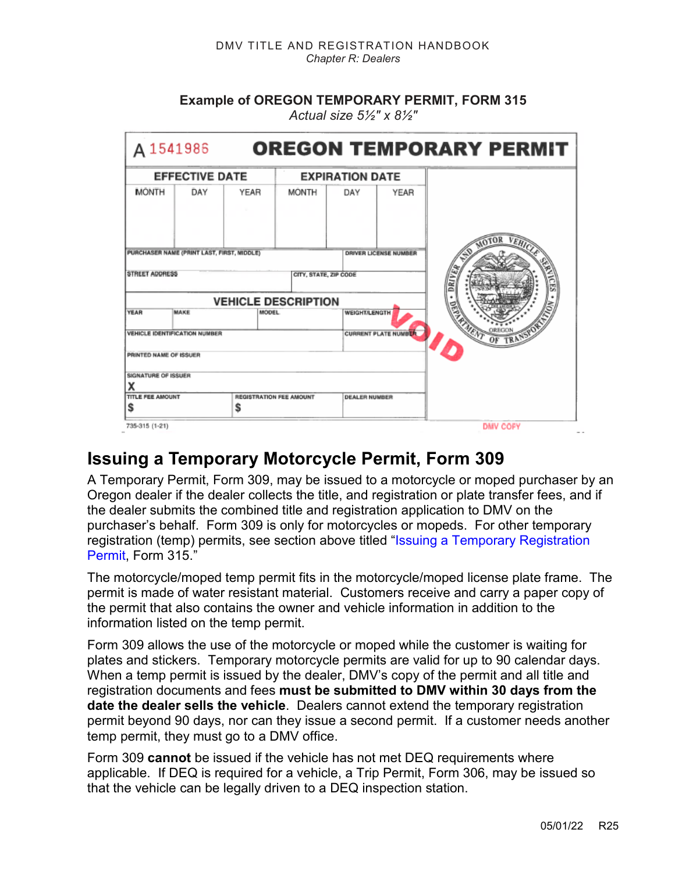**Example of OREGON TEMPORARY PERMIT, FORM 315** 

<span id="page-24-0"></span>

| A 1541986                                  |                       |              |                                |                        |                              | <b>OREGON TEMPORARY PERMIT</b> |
|--------------------------------------------|-----------------------|--------------|--------------------------------|------------------------|------------------------------|--------------------------------|
|                                            | <b>EFFECTIVE DATE</b> |              |                                | <b>EXPIRATION DATE</b> |                              |                                |
| <b>MONTH</b>                               | DAY                   | YEAR         | <b>MONTH</b>                   | DAY                    | YEAR                         |                                |
| PURCHASER NAME (PRINT LAST, FIRST, MIDDLE) |                       |              |                                |                        | <b>DRIVER LICENSE NUMBER</b> |                                |
| <b>STREET ADDRESS</b>                      |                       |              | CITY, STATE, ZIP CODE          |                        |                              |                                |
|                                            |                       |              | <b>VEHICLE DESCRIPTION</b>     |                        |                              |                                |
| <b>YEAR</b>                                | MAKE                  | <b>MODEL</b> |                                | <b>WEIGHT/LENGTH</b>   |                              |                                |
| <b>VEHICLE IDENTIFICATION NUMBER</b>       |                       |              |                                |                        | <b>CURRENT PLATE NUMBER</b>  |                                |
| PRINTED NAME OF ISSUER                     |                       |              |                                |                        |                              |                                |
| SIGNATURE OF ISSUER                        |                       |              |                                |                        |                              |                                |
|                                            |                       |              |                                |                        |                              |                                |
| <b>TITLE FEE AMOUNT</b><br>S               |                       | \$           | <b>REGISTRATION FEE AMOUNT</b> | <b>DEALER NUMBER</b>   |                              |                                |
|                                            |                       |              |                                |                        |                              |                                |
| 735-315 (1-21)                             |                       |              |                                |                        |                              | <b>DMV COFY</b>                |

*Actual size 5½" x 8½"* 

## <span id="page-24-1"></span>**Issuing a Temporary Motorcycle Permit, Form 309**

A Temporary Permit, Form 309, may be issued to a motorcycle or moped purchaser by an Oregon dealer if the dealer collects the title, and registration or plate transfer fees, and if the dealer submits the combined title and registration application to DMV on the purchaser's behalf. Form 309 is only for motorcycles or mopeds. For other temporary registration (temp) permits, see section above titled ["Issuing a Temporary Registration](#page-22-1)  [Permit,](#page-22-1) Form 315."

The motorcycle/moped temp permit fits in the motorcycle/moped license plate frame. The permit is made of water resistant material. Customers receive and carry a paper copy of the permit that also contains the owner and vehicle information in addition to the information listed on the temp permit.

Form 309 allows the use of the motorcycle or moped while the customer is waiting for plates and stickers. Temporary motorcycle permits are valid for up to 90 calendar days. When a temp permit is issued by the dealer, DMV's copy of the permit and all title and registration documents and fees **must be submitted to DMV within 30 days from the date the dealer sells the vehicle**. Dealers cannot extend the temporary registration permit beyond 90 days, nor can they issue a second permit. If a customer needs another temp permit, they must go to a DMV office.

Form 309 **cannot** be issued if the vehicle has not met DEQ requirements where applicable. If DEQ is required for a vehicle, a Trip Permit, Form 306, may be issued so that the vehicle can be legally driven to a DEQ inspection station.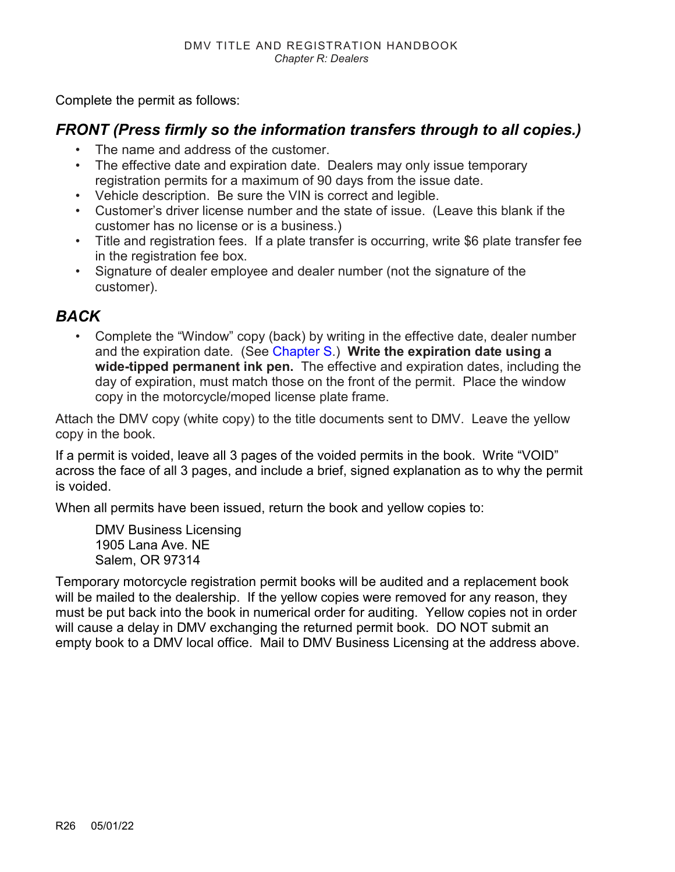Complete the permit as follows:

#### *FRONT (Press firmly so the information transfers through to all copies.)*

- The name and address of the customer.
- The effective date and expiration date. Dealers may only issue temporary registration permits for a maximum of 90 days from the issue date.
- Vehicle description. Be sure the VIN is correct and legible.
- Customer's driver license number and the state of issue. (Leave this blank if the customer has no license or is a business.)
- Title and registration fees. If a plate transfer is occurring, write \$6 plate transfer fee in the registration fee box.
- Signature of dealer employee and dealer number (not the signature of the customer).

#### *BACK*

• Complete the "Window" copy (back) by writing in the effective date, dealer number and the expiration date. (See [Chapter S.](https://www.oregon.gov/ODOT/DMV/docs/VTRH/Chapter_S.pdf)) **Write the expiration date using a wide-tipped permanent ink pen.** The effective and expiration dates, including the day of expiration, must match those on the front of the permit. Place the window copy in the motorcycle/moped license plate frame.

Attach the DMV copy (white copy) to the title documents sent to DMV. Leave the yellow copy in the book.

If a permit is voided, leave all 3 pages of the voided permits in the book. Write "VOID" across the face of all 3 pages, and include a brief, signed explanation as to why the permit is voided.

When all permits have been issued, return the book and yellow copies to:

DMV Business Licensing 1905 Lana Ave. NE Salem, OR 97314

Temporary motorcycle registration permit books will be audited and a replacement book will be mailed to the dealership. If the yellow copies were removed for any reason, they must be put back into the book in numerical order for auditing. Yellow copies not in order will cause a delay in DMV exchanging the returned permit book. DO NOT submit an empty book to a DMV local office. Mail to DMV Business Licensing at the address above.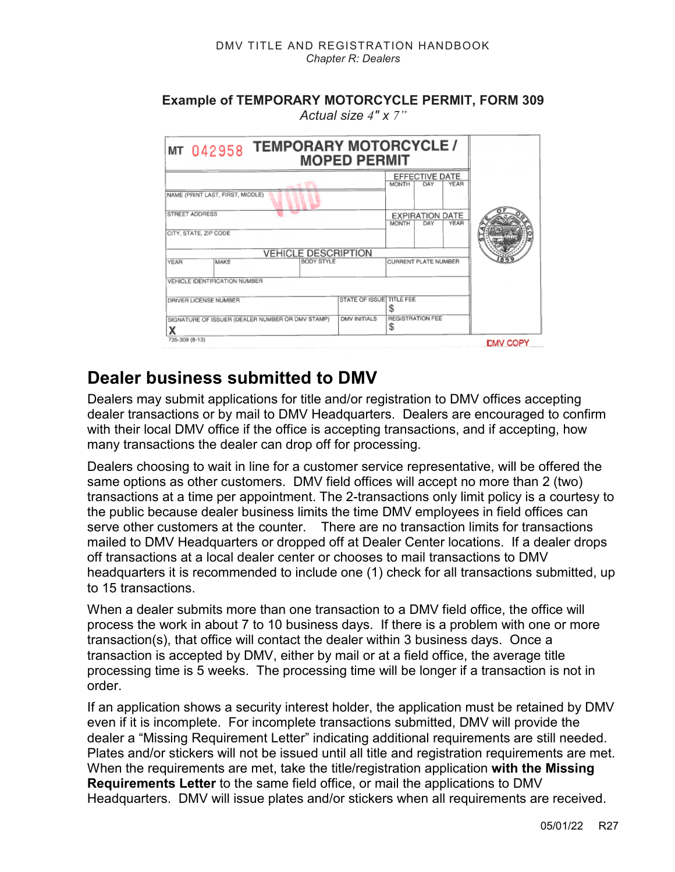#### **Example of TEMPORARY MOTORCYCLE PERMIT, FORM 309** *Actual size 4" x 7"*

| MT 042958 TEMPORARY MOTORCYCLE/                             | <b>MOPED PERMIT</b>      |                              |                                                        |              |                 |
|-------------------------------------------------------------|--------------------------|------------------------------|--------------------------------------------------------|--------------|-----------------|
| NAME (PRINT LAST, FIRST, MIDDLE)<br>STREET ADDRESS          |                          | <b>MONTH</b><br><b>MONTH</b> | EFFECTIVE DATE<br>DAY<br><b>EXPIRATION DATE</b><br>DAY | YEAR<br>YEAR |                 |
| CITY, STATE, ZIP CODE<br><b>VEHICLE DESCRIPTION</b>         |                          |                              |                                                        |              |                 |
| BODY STYLE<br>MAKE<br>YEAR<br>VEHICLE IDENTIFICATION NUMBER |                          | CURRENT PLATE NUMBER         |                                                        |              |                 |
| DRIVER LICENSE NUMBER                                       | STATE OF ISSUE TITLE FEE |                              |                                                        |              |                 |
| SIGNATURE OF ISSUER (DEALER NUMBER OR DMV STAMP)            | <b>DMV INITIALS</b>      | <b>REGISTRATION FEE</b><br>S |                                                        |              |                 |
| 735-309 (8-13)                                              |                          |                              |                                                        |              | <b>DMV COPY</b> |

## **Dealer business submitted to DMV**

Dealers may submit applications for title and/or registration to DMV offices accepting dealer transactions or by mail to DMV Headquarters. Dealers are encouraged to confirm with their local DMV office if the office is accepting transactions, and if accepting, how many transactions the dealer can drop off for processing.

Dealers choosing to wait in line for a customer service representative, will be offered the same options as other customers. DMV field offices will accept no more than 2 (two) transactions at a time per appointment. The 2-transactions only limit policy is a courtesy to the public because dealer business limits the time DMV employees in field offices can serve other customers at the counter. There are no transaction limits for transactions mailed to DMV Headquarters or dropped off at Dealer Center locations. If a dealer drops off transactions at a local dealer center or chooses to mail transactions to DMV headquarters it is recommended to include one (1) check for all transactions submitted, up to 15 transactions.

When a dealer submits more than one transaction to a DMV field office, the office will process the work in about 7 to 10 business days. If there is a problem with one or more transaction(s), that office will contact the dealer within 3 business days. Once a transaction is accepted by DMV, either by mail or at a field office, the average title processing time is 5 weeks. The processing time will be longer if a transaction is not in order.

If an application shows a security interest holder, the application must be retained by DMV even if it is incomplete. For incomplete transactions submitted, DMV will provide the dealer a "Missing Requirement Letter" indicating additional requirements are still needed. Plates and/or stickers will not be issued until all title and registration requirements are met. When the requirements are met, take the title/registration application **with the Missing Requirements Letter** to the same field office, or mail the applications to DMV Headquarters. DMV will issue plates and/or stickers when all requirements are received.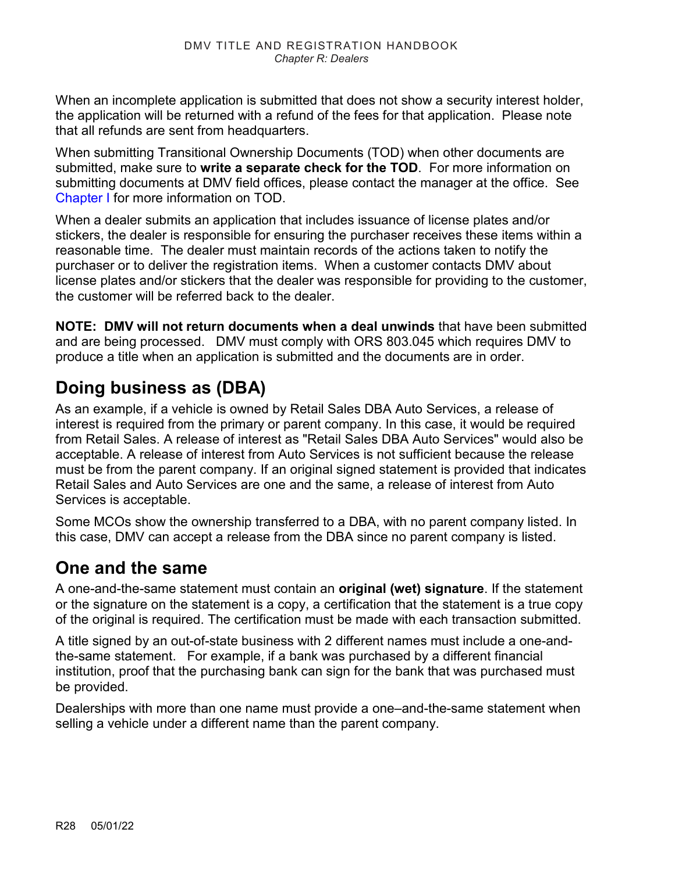When an incomplete application is submitted that does not show a security interest holder, the application will be returned with a refund of the fees for that application. Please note that all refunds are sent from headquarters.

When submitting Transitional Ownership Documents (TOD) when other documents are submitted, make sure to **write a separate check for the TOD**. For more information on submitting documents at DMV field offices, please contact the manager at the office. See [Chapter I](https://www.oregon.gov/ODOT/DMV/docs/VTRH/Chapter_I.pdf) for more information on TOD.

When a dealer submits an application that includes issuance of license plates and/or stickers, the dealer is responsible for ensuring the purchaser receives these items within a reasonable time. The dealer must maintain records of the actions taken to notify the purchaser or to deliver the registration items. When a customer contacts DMV about license plates and/or stickers that the dealer was responsible for providing to the customer, the customer will be referred back to the dealer.

**NOTE: DMV will not return documents when a deal unwinds** that have been submitted and are being processed. DMV must comply with ORS 803.045 which requires DMV to produce a title when an application is submitted and the documents are in order.

## **Doing business as (DBA)**

As an example, if a vehicle is owned by Retail Sales DBA Auto Services, a release of interest is required from the primary or parent company. In this case, it would be required from Retail Sales. A release of interest as "Retail Sales DBA Auto Services" would also be acceptable. A release of interest from Auto Services is not sufficient because the release must be from the parent company. If an original signed statement is provided that indicates Retail Sales and Auto Services are one and the same, a release of interest from Auto Services is acceptable.

Some MCOs show the ownership transferred to a DBA, with no parent company listed. In this case, DMV can accept a release from the DBA since no parent company is listed.

## **One and the same**

A one-and-the-same statement must contain an **original (wet) signature**. If the statement or the signature on the statement is a copy, a certification that the statement is a true copy of the original is required. The certification must be made with each transaction submitted.

A title signed by an out-of-state business with 2 different names must include a one-andthe-same statement. For example, if a bank was purchased by a different financial institution, proof that the purchasing bank can sign for the bank that was purchased must be provided.

Dealerships with more than one name must provide a one–and-the-same statement when selling a vehicle under a different name than the parent company.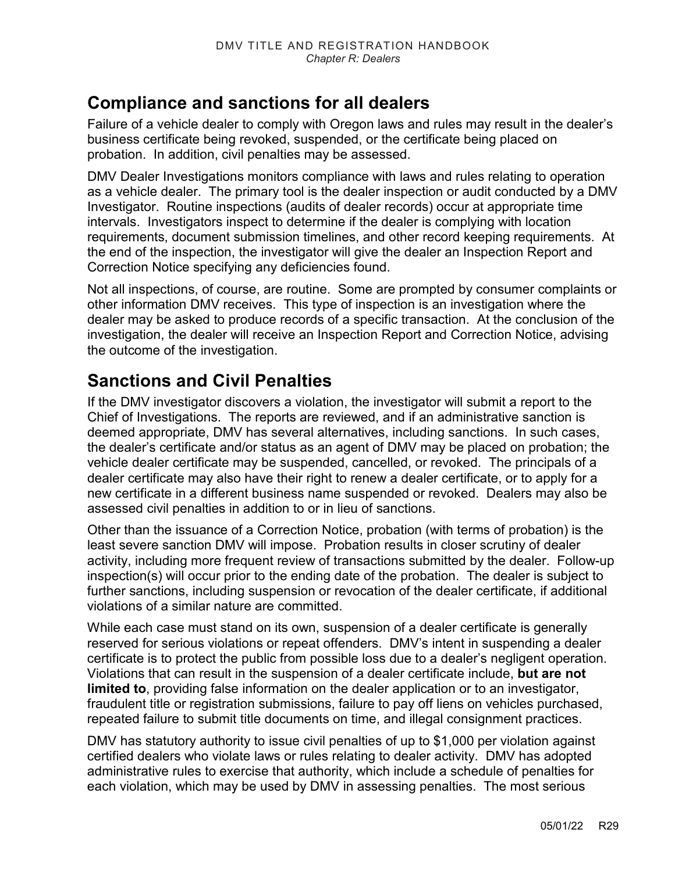### **Compliance and sanctions for all dealers**

Failure of a vehicle dealer to comply with Oregon laws and rules may result in the dealer's business certificate being revoked, suspended, or the certificate being placed on probation. In addition, civil penalties may be assessed.

DMV Dealer Investigations monitors compliance with laws and rules relating to operation as a vehicle dealer. The primary tool is the dealer inspection or audit conducted by a DMV Investigator. Routine inspections (audits of dealer records) occur at appropriate time intervals. Investigators inspect to determine if the dealer is complying with location requirements, document submission timelines, and other record keeping requirements. At the end of the inspection, the investigator will give the dealer an Inspection Report and Correction Notice specifying any deficiencies found.

Not all inspections, of course, are routine. Some are prompted by consumer complaints or other information DMV receives. This type of inspection is an investigation where the dealer may be asked to produce records of a specific transaction. At the conclusion of the investigation, the dealer will receive an Inspection Report and Correction Notice, advising the outcome of the investigation.

## **Sanctions and Civil Penalties**

If the DMV investigator discovers a violation, the investigator will submit a report to the Chief of Investigations. The reports are reviewed, and if an administrative sanction is deemed appropriate, DMV has several alternatives, including sanctions. In such cases, the dealer's certificate and/or status as an agent of DMV may be placed on probation; the vehicle dealer certificate may be suspended, cancelled, or revoked. The principals of a dealer certificate may also have their right to renew a dealer certificate, or to apply for a new certificate in a different business name suspended or revoked. Dealers may also be assessed civil penalties in addition to or in lieu of sanctions.

Other than the issuance of a Correction Notice, probation (with terms of probation) is the least severe sanction DMV will impose. Probation results in closer scrutiny of dealer activity, including more frequent review of transactions submitted by the dealer. Follow-up inspection(s) will occur prior to the ending date of the probation. The dealer is subject to further sanctions, including suspension or revocation of the dealer certificate, if additional violations of a similar nature are committed.

While each case must stand on its own, suspension of a dealer certificate is generally reserved for serious violations or repeat offenders. DMV's intent in suspending a dealer certificate is to protect the public from possible loss due to a dealer's negligent operation. Violations that can result in the suspension of a dealer certificate include, **but are not limited to**, providing false information on the dealer application or to an investigator, fraudulent title or registration submissions, failure to pay off liens on vehicles purchased, repeated failure to submit title documents on time, and illegal consignment practices.

DMV has statutory authority to issue civil penalties of up to \$1,000 per violation against certified dealers who violate laws or rules relating to dealer activity. DMV has adopted administrative rules to exercise that authority, which include a schedule of penalties for each violation, which may be used by DMV in assessing penalties. The most serious